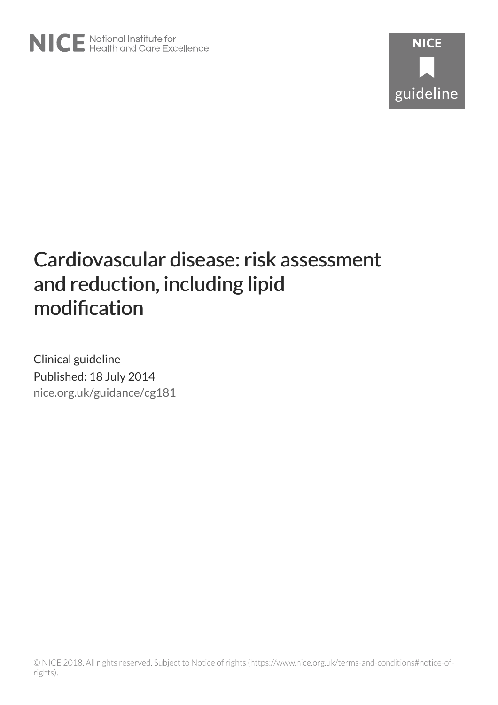# Cardiovascular disease: risk assessment and reduction, including lipid modification

Clinical guideline Published: 18 July 2014 [nice.org.uk/guidance/cg181](http://nice.org.uk/guidance/cg181)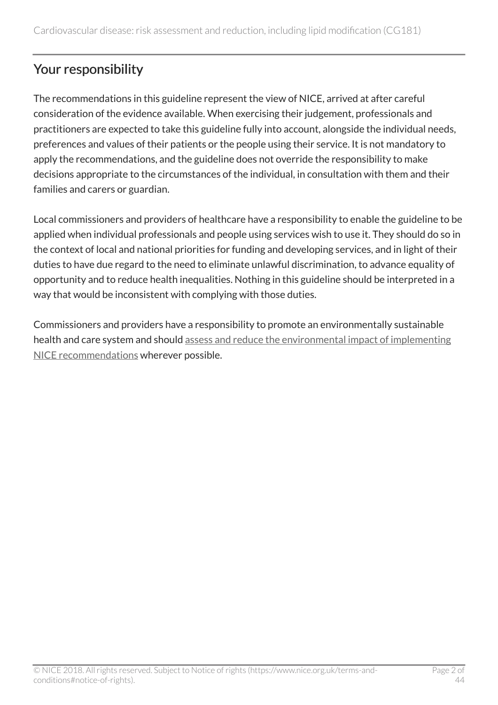# Your responsibility

The recommendations in this guideline represent the view of NICE, arrived at after careful consideration of the evidence available. When exercising their judgement, professionals and practitioners are expected to take this guideline fully into account, alongside the individual needs, preferences and values of their patients or the people using their service. It is not mandatory to apply the recommendations, and the guideline does not override the responsibility to make decisions appropriate to the circumstances of the individual, in consultation with them and their families and carers or guardian.

Local commissioners and providers of healthcare have a responsibility to enable the guideline to be applied when individual professionals and people using services wish to use it. They should do so in the context of local and national priorities for funding and developing services, and in light of their duties to have due regard to the need to eliminate unlawful discrimination, to advance equality of opportunity and to reduce health inequalities. Nothing in this guideline should be interpreted in a way that would be inconsistent with complying with those duties.

Commissioners and providers have a responsibility to promote an environmentally sustainable health and care system and should [assess and reduce the environmental impact of implementing](https://www.nice.org.uk/about/who-we-are/sustainability) [NICE recommendations](https://www.nice.org.uk/about/who-we-are/sustainability) wherever possible.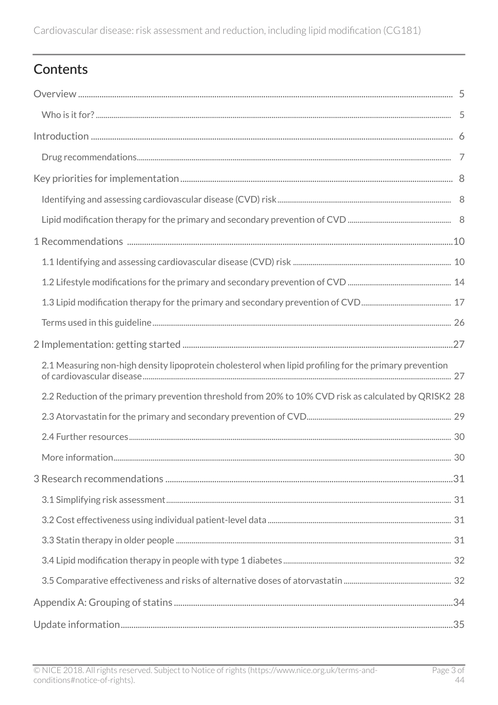# Contents

| 2.1 Measuring non-high density lipoprotein cholesterol when lipid profiling for the primary prevention |  |
|--------------------------------------------------------------------------------------------------------|--|
| 2.2 Reduction of the primary prevention threshold from 20% to 10% CVD risk as calculated by QRISK2 28  |  |
|                                                                                                        |  |
|                                                                                                        |  |
|                                                                                                        |  |
|                                                                                                        |  |
|                                                                                                        |  |
|                                                                                                        |  |
|                                                                                                        |  |
|                                                                                                        |  |
|                                                                                                        |  |
|                                                                                                        |  |
|                                                                                                        |  |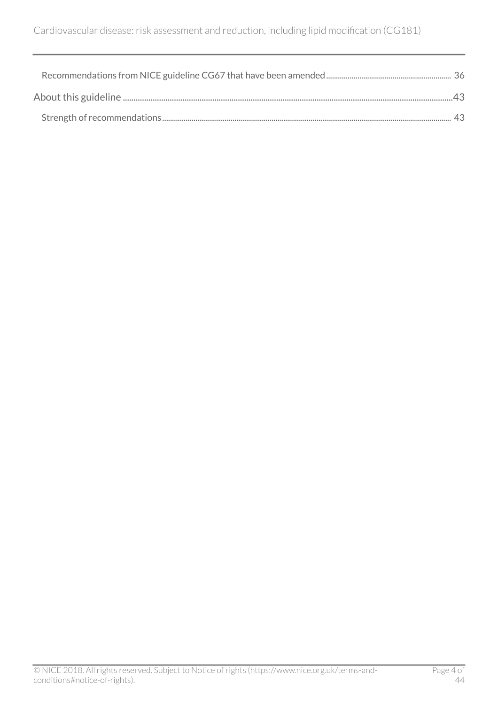| $\Delta$ ? |  |
|------------|--|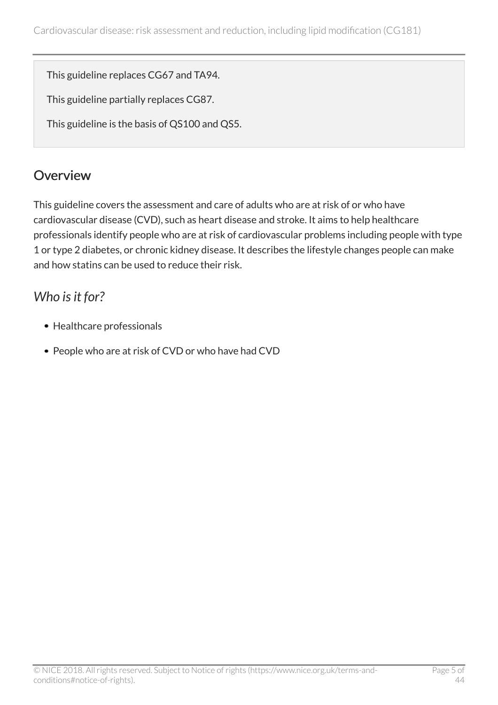This guideline replaces CG67 and TA94.

This guideline partially replaces CG87.

This guideline is the basis of QS100 and QS5.

# <span id="page-4-0"></span>**Overview**

This guideline covers the assessment and care of adults who are at risk of or who have cardiovascular disease (CVD), such as heart disease and stroke. It aims to help healthcare professionals identify people who are at risk of cardiovascular problems including people with type 1 or type 2 diabetes, or chronic kidney disease. It describes the lifestyle changes people can make and how statins can be used to reduce their risk.

### <span id="page-4-1"></span>*Who is it for?*

- Healthcare professionals
- People who are at risk of CVD or who have had CVD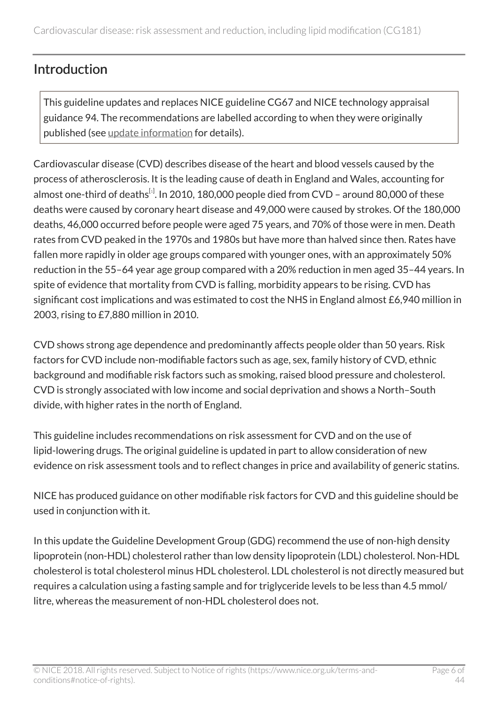# <span id="page-5-0"></span>Introduction

This guideline updates and replaces NICE guideline CG67 and NICE technology appraisal guidance 94. The recommendations are labelled according to when they were originally published (see [update information](http://live-publications.nice.org.uk/update-information#update-information) for details).

<span id="page-5-1"></span>Cardiovascular disease (CVD) describes disease of the heart and blood vessels caused by the process of atherosclerosis. It is the leading cause of death in England and Wales, accounting for almost one-third of deaths<sup>[[1](#page-6-1)]</sup>. In 2010, 180,000 people died from CVD – around 80,000 of these deaths were caused by coronary heart disease and 49,000 were caused by strokes. Of the 180,000 deaths, 46,000 occurred before people were aged 75 years, and 70% of those were in men. Death rates from CVD peaked in the 1970s and 1980s but have more than halved since then. Rates have fallen more rapidly in older age groups compared with younger ones, with an approximately 50% reduction in the 55–64 year age group compared with a 20% reduction in men aged 35–44 years. In spite of evidence that mortality from CVD is falling, morbidity appears to be rising. CVD has significant cost implications and was estimated to cost the NHS in England almost £6,940 million in 2003, rising to £7,880 million in 2010.

CVD shows strong age dependence and predominantly affects people older than 50 years. Risk factors for CVD include non-modifiable factors such as age, sex, family history of CVD, ethnic background and modifiable risk factors such as smoking, raised blood pressure and cholesterol. CVD is strongly associated with low income and social deprivation and shows a North–South divide, with higher rates in the north of England.

This guideline includes recommendations on risk assessment for CVD and on the use of lipid-lowering drugs. The original guideline is updated in part to allow consideration of new evidence on risk assessment tools and to reflect changes in price and availability of generic statins.

NICE has produced guidance on other modifiable risk factors for CVD and this guideline should be used in conjunction with it.

In this update the Guideline Development Group (GDG) recommend the use of non-high density lipoprotein (non-HDL) cholesterol rather than low density lipoprotein (LDL) cholesterol. Non-HDL cholesterol is total cholesterol minus HDL cholesterol. LDL cholesterol is not directly measured but requires a calculation using a fasting sample and for triglyceride levels to be less than 4.5 mmol/ litre, whereas the measurement of non-HDL cholesterol does not.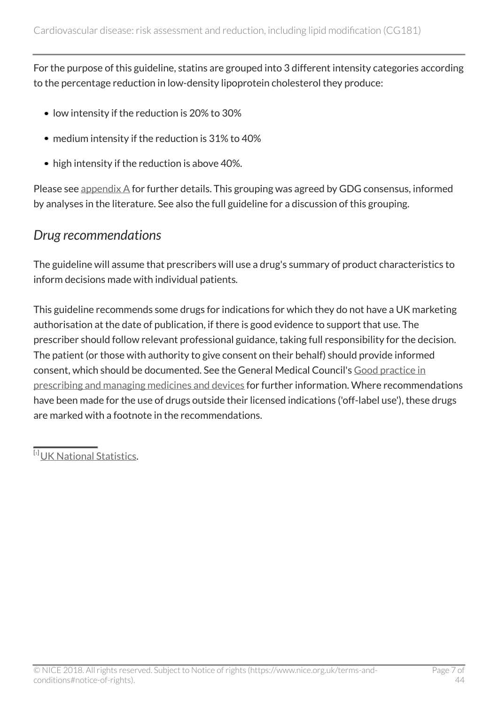For the purpose of this guideline, statins are grouped into 3 different intensity categories according to the percentage reduction in low-density lipoprotein cholesterol they produce:

- low intensity if the reduction is 20% to 30%
- medium intensity if the reduction is 31% to 40%
- high intensity if the reduction is above 40%.

Please see [appendix A](http://www.nice.org.uk/guidance/cg181/chapter/appendix-a-grouping-of-statins) for further details. This grouping was agreed by GDG consensus, informed by analyses in the literature. See also the full guideline for a discussion of this grouping.

#### <span id="page-6-0"></span>*Drug recommendations*

The guideline will assume that prescribers will use a drug's summary of product characteristics to inform decisions made with individual patients*.*

This guideline recommends some drugs for indications for which they do not have a UK marketing authorisation at the date of publication, if there is good evidence to support that use. The prescriber should follow relevant professional guidance, taking full responsibility for the decision. The patient (or those with authority to give consent on their behalf) should provide informed consent, which should be documented. See the General Medical Council's [Good practice in](http://www.gmc-uk.org/guidance/ethical_guidance/14327.asp) [prescribing and managing medicines and devices](http://www.gmc-uk.org/guidance/ethical_guidance/14327.asp) for further information. Where recommendations have been made for the use of drugs outside their licensed indications ('off-label use'), these drugs are marked with a footnote in the recommendations.

<span id="page-6-1"></span><sup>[</sup>[1](#page-5-1)] [UK National Statistics](http://www.statistics.gov.uk/hub/index.html).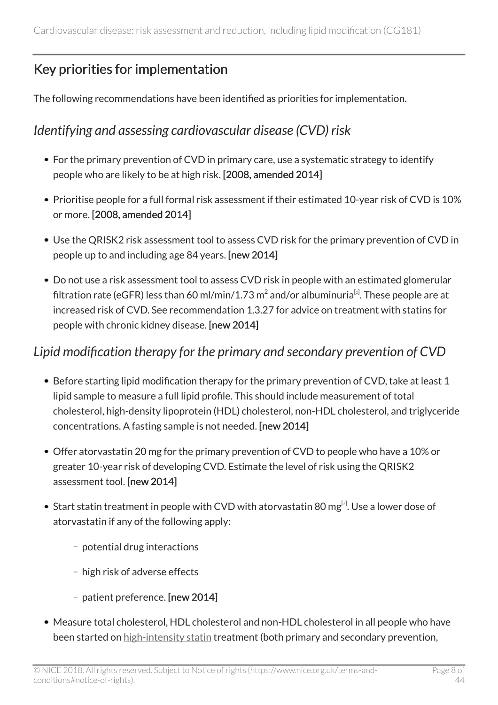# <span id="page-7-0"></span>Key priorities for implementation

The following recommendations have been identified as priorities for implementation.

### <span id="page-7-1"></span>*Identifying and assessing cardiovascular disease (CVD) risk*

- For the primary prevention of CVD in primary care, use a systematic strategy to identify people who are likely to be at high risk. [2008, amended 2014]
- Prioritise people for a full formal risk assessment if their estimated 10-year risk of CVD is 10% or more. [2008, amended 2014]
- Use the QRISK2 risk assessment tool to assess CVD risk for the primary prevention of CVD in people up to and including age 84 years. [new 2014]
- <span id="page-7-3"></span>Do not use a risk assessment tool to assess CVD risk in people with an estimated glomerular filtration rate (eGFR) less than 60 ml/min/1.73 m $^2$  $^2$  and/or albuminuria $^{\lbrack\mathrm{z}\rbrack}.$  These people are at increased risk of CVD. See recommendation 1.3.27 for advice on treatment with statins for people with chronic kidney disease. [new 2014]

### <span id="page-7-2"></span>*Lipid modification therapy for the primary and secondary prevention of CVD*

- Before starting lipid modification therapy for the primary prevention of CVD, take at least 1 lipid sample to measure a full lipid profile. This should include measurement of total cholesterol, high-density lipoprotein (HDL) cholesterol, non-HDL cholesterol, and triglyceride concentrations. A fasting sample is not needed. [new 2014]
- Offer atorvastatin 20 mg for the primary prevention of CVD to people who have a 10% or greater 10-year risk of developing CVD. Estimate the level of risk using the QRISK2 assessment tool. [new 2014]
- <span id="page-7-4"></span>Start statin treatment in people with CVD with atorvastatin 80 mg $^{\left[ s\right] }$ . Use a lower dose of atorvastatin if any of the following apply:
	- potential drug interactions
	- high risk of adverse effects
	- patient preference. [new 2014]
- Measure total cholesterol, HDL cholesterol and non-HDL cholesterol in all people who have been started on [high-intensity statin](http://live-publications.nice.org.uk/recommendations#high-intensity-statin) treatment (both primary and secondary prevention,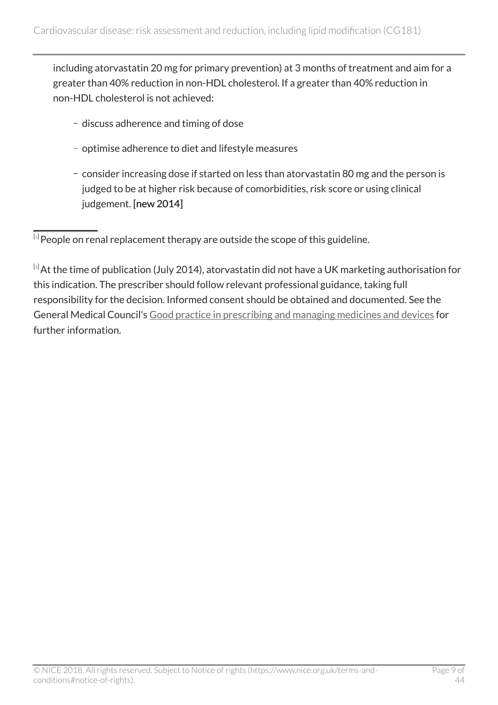including atorvastatin 20 mg for primary prevention) at 3 months of treatment and aim for a greater than 40% reduction in non-HDL cholesterol. If a greater than 40% reduction in non-HDL cholesterol is not achieved:

- discuss adherence and timing of dose
- optimise adherence to diet and lifestyle measures
- consider increasing dose if started on less than atorvastatin 80 mg and the person is judged to be at higher risk because of comorbidities, risk score or using clinical judgement. [new 2014]

<span id="page-8-0"></span> $^{\left[ z\right] }$ People on renal replacement therapy are outside the scope of this guideline.

<span id="page-8-1"></span><sup>[</sup>[3](#page-7-4)] At the time of publication (July 2014), atorvastatin did not have a UK marketing authorisation for this indication. The prescriber should follow relevant professional guidance, taking full responsibility for the decision. Informed consent should be obtained and documented. See the General Medical Council's [Good practice in prescribing and managing medicines and devices](http://www.gmc-uk.org/guidance/ethical_guidance/14327.asp) for further information.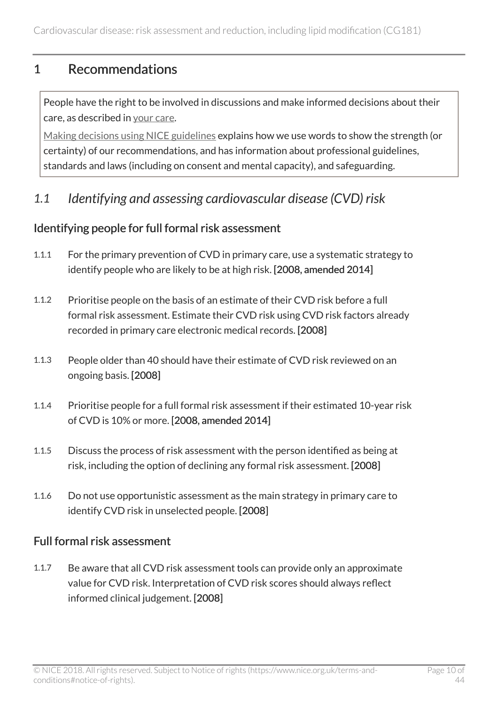### <span id="page-9-0"></span>1 Recommendations

People have the right to be involved in discussions and make informed decisions about their care, as described in [your care](http://www.nice.org.uk/about/nice-communities/public-involvement/your-care).

[Making decisions using NICE guidelines](http://www.nice.org.uk/about/what-we-do/our-programmes/nice-guidance/nice-guidelines/making-decisions-using-nice-guidelines) explains how we use words to show the strength (or certainty) of our recommendations, and has information about professional guidelines, standards and laws (including on consent and mental capacity), and safeguarding.

<span id="page-9-1"></span>*1.1 Identifying and assessing cardiovascular disease (CVD) risk*

#### Identifying people for full formal risk assessment

- 1.1.1 For the primary prevention of CVD in primary care, use a systematic strategy to identify people who are likely to be at high risk. [2008, amended 2014]
- 1.1.2 Prioritise people on the basis of an estimate of their CVD risk before a full formal risk assessment. Estimate their CVD risk using CVD risk factors already recorded in primary care electronic medical records. [2008]
- 1.1.3 People older than 40 should have their estimate of CVD risk reviewed on an ongoing basis. [2008]
- 1.1.4 Prioritise people for a full formal risk assessment if their estimated 10-year risk of CVD is 10% or more. [2008, amended 2014]
- 1.1.5 Discuss the process of risk assessment with the person identified as being at risk, including the option of declining any formal risk assessment. [2008]
- 1.1.6 Do not use opportunistic assessment as the main strategy in primary care to identify CVD risk in unselected people. [2008]

#### Full formal risk assessment

1.1.7 Be aware that all CVD risk assessment tools can provide only an approximate value for CVD risk. Interpretation of CVD risk scores should always reflect informed clinical judgement. [2008]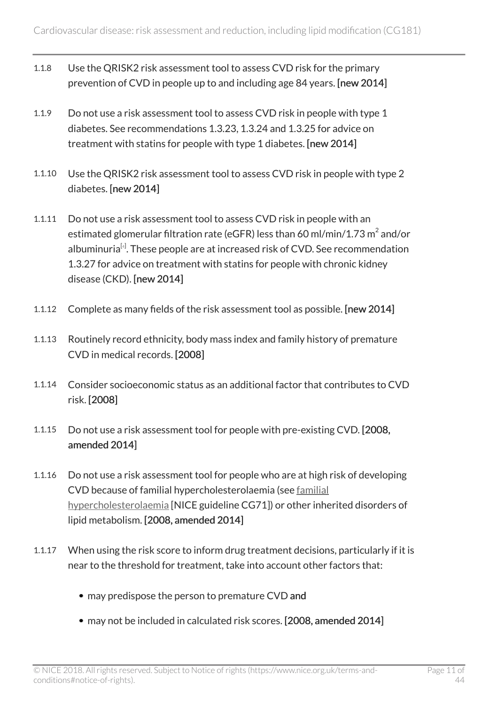- 1.1.8 Use the QRISK2 risk assessment tool to assess CVD risk for the primary prevention of CVD in people up to and including age 84 years. [new 2014]
- 1.1.9 Do not use a risk assessment tool to assess CVD risk in people with type 1 diabetes. See recommendations 1.3.23, 1.3.24 and 1.3.25 for advice on treatment with statins for people with type 1 diabetes. [new 2014]
- 1.1.10 Use the QRISK2 risk assessment tool to assess CVD risk in people with type 2 diabetes. [new 2014]
- <span id="page-10-0"></span>1.1.11 Do not use a risk assessment tool to assess CVD risk in people with an estimated glomerular filtration rate (eGFR) less than 60 ml/min/1.73  $\mathrm{m}^{2}$  and/or albuminuria $^{\lbrack4]}$  $^{\lbrack4]}$  $^{\lbrack4]}$ . These people are at increased risk of CVD. See recommendation 1.3.27 for advice on treatment with statins for people with chronic kidney disease (CKD). [new 2014]
- 1.1.12 Complete as many fields of the risk assessment tool as possible. [new 2014]
- 1.1.13 Routinely record ethnicity, body mass index and family history of premature CVD in medical records. [2008]
- 1.1.14 Consider socioeconomic status as an additional factor that contributes to CVD risk. [2008]
- 1.1.15 Do not use a risk assessment tool for people with pre-existing CVD. [2008, amended 2014]
- 1.1.16 Do not use a risk assessment tool for people who are at high risk of developing CVD because of familial hypercholesterolaemia (see [familial](http://www.nice.org.uk/guidance/cg71) [hypercholesterolaemia](http://www.nice.org.uk/guidance/cg71) [NICE guideline CG71]) or other inherited disorders of lipid metabolism. [2008, amended 2014]
- 1.1.17 When using the risk score to inform drug treatment decisions, particularly if it is near to the threshold for treatment, take into account other factors that:
	- may predispose the person to premature CVD and
	- may not be included in calculated risk scores. [2008, amended 2014]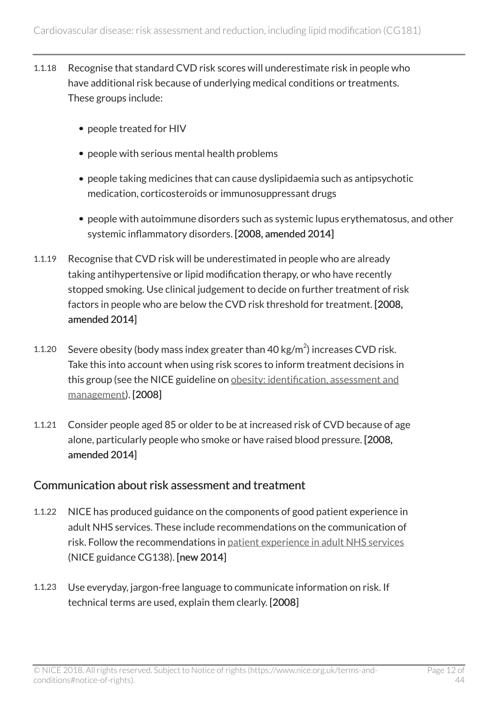- 1.1.18 Recognise that standard CVD risk scores will underestimate risk in people who have additional risk because of underlying medical conditions or treatments. These groups include:
	- people treated for HIV
	- people with serious mental health problems
	- people taking medicines that can cause dyslipidaemia such as antipsychotic medication, corticosteroids or immunosuppressant drugs
	- people with autoimmune disorders such as systemic lupus erythematosus, and other systemic inflammatory disorders. [2008, amended 2014]
- 1.1.19 Recognise that CVD risk will be underestimated in people who are already taking antihypertensive or lipid modification therapy, or who have recently stopped smoking. Use clinical judgement to decide on further treatment of risk factors in people who are below the CVD risk threshold for treatment. [2008, amended 2014]
- 1.1.20 Severe obesity (body mass index greater than  $40 \text{ kg/m}^2$ ) increases CVD risk. Take this into account when using risk scores to inform treatment decisions in this group (see the NICE guideline on [obesity: identification, assessment and](http://www.nice.org.uk/guidance/cg189) [management\)](http://www.nice.org.uk/guidance/cg189). [2008]
- 1.1.21 Consider people aged 85 or older to be at increased risk of CVD because of age alone, particularly people who smoke or have raised blood pressure. [2008, amended 2014]

#### Communication about risk assessment and treatment

- 1.1.22 NICE has produced guidance on the components of good patient experience in adult NHS services. These include recommendations on the communication of risk. Follow the recommendations in [patient experience in adult NHS services](http://www.nice.org.uk/guidance/cg138) (NICE guidance CG138). [new 2014]
- 1.1.23 Use everyday, jargon-free language to communicate information on risk. If technical terms are used, explain them clearly. [2008]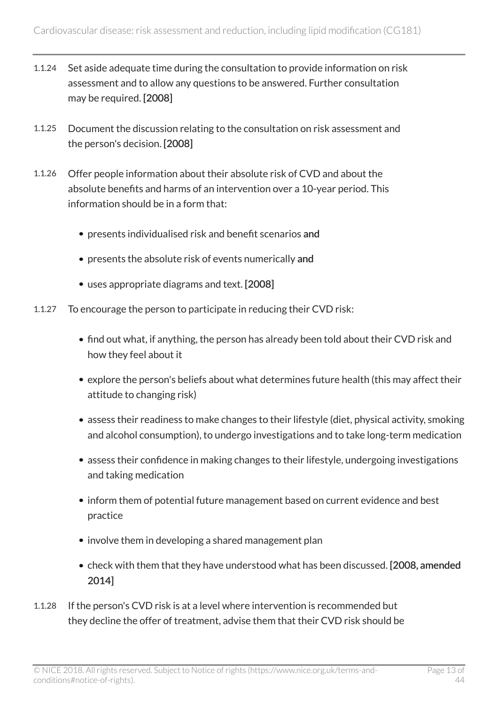- 1.1.24 Set aside adequate time during the consultation to provide information on risk assessment and to allow any questions to be answered. Further consultation may be required. [2008]
- 1.1.25 Document the discussion relating to the consultation on risk assessment and the person's decision. [2008]
- 1.1.26 Offer people information about their absolute risk of CVD and about the absolute benefits and harms of an intervention over a 10-year period. This information should be in a form that:
	- presents individualised risk and benefit scenarios and
	- presents the absolute risk of events numerically and
	- uses appropriate diagrams and text. [2008]
- 1.1.27 To encourage the person to participate in reducing their CVD risk:
	- find out what, if anything, the person has already been told about their CVD risk and how they feel about it
	- explore the person's beliefs about what determines future health (this may affect their attitude to changing risk)
	- assess their readiness to make changes to their lifestyle (diet, physical activity, smoking and alcohol consumption), to undergo investigations and to take long-term medication
	- assess their confidence in making changes to their lifestyle, undergoing investigations and taking medication
	- inform them of potential future management based on current evidence and best practice
	- involve them in developing a shared management plan
	- check with them that they have understood what has been discussed. [2008, amended 2014]
- 1.1.28 If the person's CVD risk is at a level where intervention is recommended but they decline the offer of treatment, advise them that their CVD risk should be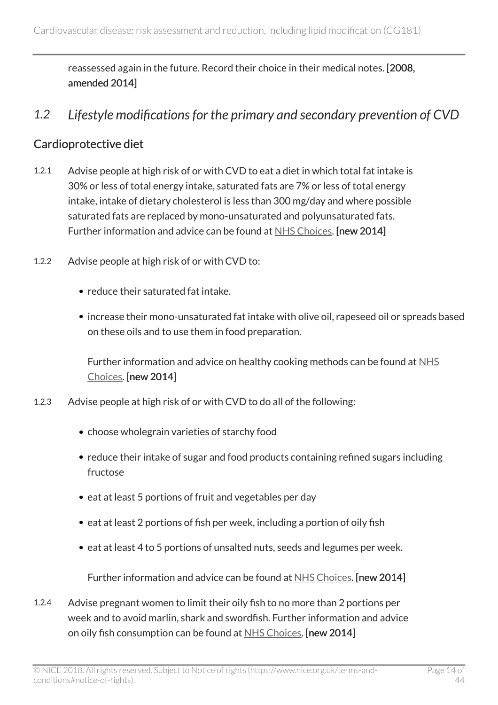reassessed again in the future. Record their choice in their medical notes. [2008, amended 2014]

<span id="page-13-0"></span>*1.2 Lifestyle modifications for the primary and secondary prevention of CVD*

#### Cardioprotective diet

- 1.2.1 Advise people at high risk of or with CVD to eat a diet in which total fat intake is 30% or less of total energy intake, saturated fats are 7% or less of total energy intake, intake of dietary cholesterol is less than 300 mg/day and where possible saturated fats are replaced by mono-unsaturated and polyunsaturated fats. Further information and advice can be found at [NHS Choices.](http://www.nhs.uk/Livewell/healthy-eating/Pages/Healthyeating.aspx) [new 2014]
- 1.2.2 Advise people at high risk of or with CVD to:
	- reduce their saturated fat intake.
	- increase their mono-unsaturated fat intake with olive oil, rapeseed oil or spreads based on these oils and to use them in food preparation.

Further information and advice on healthy cooking methods can be found at [NHS](http://www.nhs.uk/Livewell/healthy-eating/Pages/Healthyeating.aspx) [Choices](http://www.nhs.uk/Livewell/healthy-eating/Pages/Healthyeating.aspx). [new 2014]

- 1.2.3 Advise people at high risk of or with CVD to do all of the following:
	- choose wholegrain varieties of starchy food
	- reduce their intake of sugar and food products containing refined sugars including fructose
	- eat at least 5 portions of fruit and vegetables per day
	- eat at least 2 portions of fish per week, including a portion of oily fish
	- eat at least 4 to 5 portions of unsalted nuts, seeds and legumes per week.

Further information and advice can be found at [NHS Choices](http://www.nhs.uk/Livewell/healthy-eating/Pages/Healthyeating.aspx). [new 2014]

1.2.4 Advise pregnant women to limit their oily fish to no more than 2 portions per week and to avoid marlin, shark and swordfish. Further information and advice on oily fish consumption can be found at [NHS Choices](http://www.nhs.uk/Livewell/healthy-eating/Pages/Healthyeating.aspx). [new 2014]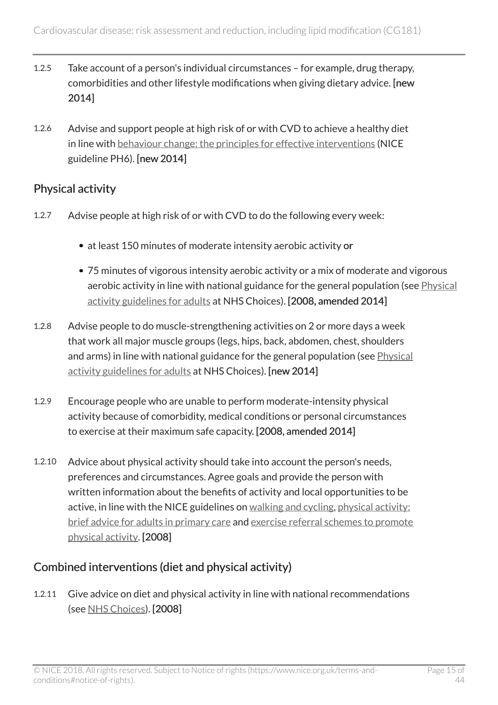- 1.2.5 Take account of a person's individual circumstances for example, drug therapy, comorbidities and other lifestyle modifications when giving dietary advice. [new 2014]
- 1.2.6 Advise and support people at high risk of or with CVD to achieve a healthy diet in line with [behaviour change: the principles for effective interventions](http://www.nice.org.uk/guidance/ph6) (NICE guideline PH6). [new 2014]

### Physical activity

- 1.2.7 Advise people at high risk of or with CVD to do the following every week:
	- at least 150 minutes of moderate intensity aerobic activity or
	- 75 minutes of vigorous intensity aerobic activity or a mix of moderate and vigorous aerobic activity in line with national guidance for the general population (see [Physical](http://www.nhs.uk/Livewell/fitness/Pages/physical-activity-guidelines-for-adults.aspx) [activity guidelines for adults](http://www.nhs.uk/Livewell/fitness/Pages/physical-activity-guidelines-for-adults.aspx) at NHS Choices). [2008, amended 2014]
- 1.2.8 Advise people to do muscle-strengthening activities on 2 or more days a week that work all major muscle groups (legs, hips, back, abdomen, chest, shoulders and arms) in line with national guidance for the general population (see [Physical](http://www.nhs.uk/Livewell/fitness/Pages/physical-activity-guidelines-for-adults.aspx) [activity guidelines for adults](http://www.nhs.uk/Livewell/fitness/Pages/physical-activity-guidelines-for-adults.aspx) at NHS Choices). [new 2014]
- 1.2.9 Encourage people who are unable to perform moderate-intensity physical activity because of comorbidity, medical conditions or personal circumstances to exercise at their maximum safe capacity. [2008, amended 2014]
- 1.2.10 Advice about physical activity should take into account the person's needs, preferences and circumstances. Agree goals and provide the person with written information about the benefits of activity and local opportunities to be active, in line with the NICE guidelines on [walking and cycling,](http://www.nice.org.uk/guidance/ph41) [physical activity:](http://www.nice.org.uk/guidance/ph44) [brief advice for adults in primary care](http://www.nice.org.uk/guidance/ph44) and [exercise referral schemes to promote](http://www.nice.org.uk/guidance/ph54) [physical activity.](http://www.nice.org.uk/guidance/ph54) [2008]

### Combined interventions (diet and physical activity)

1.2.11 Give advice on diet and physical activity in line with national recommendations (see [NHS Choices\)](http://www.nhs.uk/Livewell/healthy-eating/Pages/Healthyeating.aspx). [2008]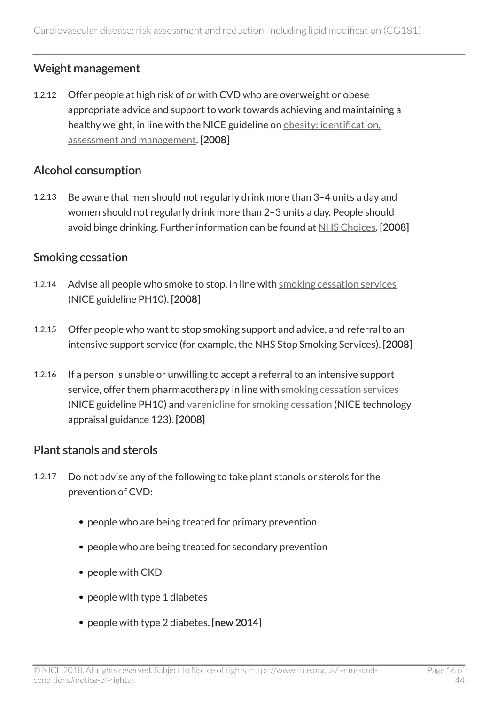### Weight management

1.2.12 Offer people at high risk of or with CVD who are overweight or obese appropriate advice and support to work towards achieving and maintaining a healthy weight, in line with the NICE guideline on [obesity: identification,](http://www.nice.org.uk/guidance/cg189) [assessment and management](http://www.nice.org.uk/guidance/cg189). [2008]

#### Alcohol consumption

1.2.13 Be aware that men should not regularly drink more than 3–4 units a day and women should not regularly drink more than 2–3 units a day. People should avoid binge drinking. Further information can be found at [NHS Choices.](http://www.nhs.uk/conditions/alcohol-misuse/pages/introduction.aspx) [2008]

#### Smoking cessation

- 1.2.14 Advise all people who smoke to stop, in line with [smoking cessation services](http://www.nice.org.uk/guidance/ph10) (NICE guideline PH10). [2008]
- 1.2.15 Offer people who want to stop smoking support and advice, and referral to an intensive support service (for example, the NHS Stop Smoking Services). [2008]
- 1.2.16 If a person is unable or unwilling to accept a referral to an intensive support service, offer them pharmacotherapy in line with [smoking cessation services](http://www.nice.org.uk/guidance/ph10) (NICE guideline PH10) and [varenicline for smoking cessation](http://www.nice.org.uk/guidance/ta123) (NICE technology appraisal guidance 123). [2008]

#### Plant stanols and sterols

- 1.2.17 Do not advise any of the following to take plant stanols or sterols for the prevention of CVD:
	- people who are being treated for primary prevention
	- people who are being treated for secondary prevention
	- people with CKD
	- people with type 1 diabetes
	- people with type 2 diabetes. [new 2014]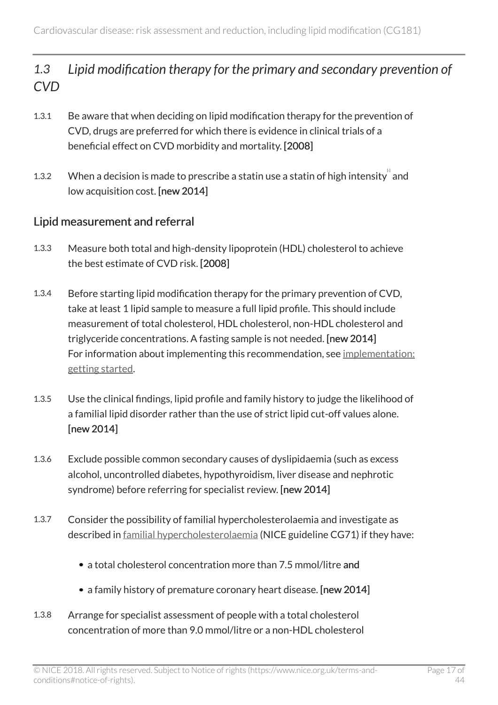### <span id="page-16-0"></span>*1.3 Lipid modification therapy for the primary and secondary prevention of CVD*

- 1.3.1 Be aware that when deciding on lipid modification therapy for the prevention of CVD, drugs are preferred for which there is evidence in clinical trials of a beneficial effect on CVD morbidity and mortality. [2008]
- <span id="page-16-1"></span>1.3.2 When a decision is made to prescribe a statin use a statin of high intensity and low acquisition cost. [new 2014]

#### Lipid measurement and referral

- 1.3.3 Measure both total and high-density lipoprotein (HDL) cholesterol to achieve the best estimate of CVD risk. [2008]
- 1.3.4 Before starting lipid modification therapy for the primary prevention of CVD, take at least 1 lipid sample to measure a full lipid profile. This should include measurement of total cholesterol, HDL cholesterol, non-HDL cholesterol and triglyceride concentrations. A fasting sample is not needed. [new 2014] For information about implementing this recommendation, see [implementation:](http://www.nice.org.uk/guidance/cg181/chapter/implementation-getting-started) [getting started.](http://www.nice.org.uk/guidance/cg181/chapter/implementation-getting-started)
- 1.3.5 Use the clinical findings, lipid profile and family history to judge the likelihood of a familial lipid disorder rather than the use of strict lipid cut-off values alone. [new 2014]
- 1.3.6 Exclude possible common secondary causes of dyslipidaemia (such as excess alcohol, uncontrolled diabetes, hypothyroidism, liver disease and nephrotic syndrome) before referring for specialist review. [new 2014]
- 1.3.7 Consider the possibility of familial hypercholesterolaemia and investigate as described in [familial hypercholesterolaemia](http://www.nice.org.uk/guidance/cg71) (NICE guideline CG71) if they have:
	- a total cholesterol concentration more than 7.5 mmol/litre and
	- a family history of premature coronary heart disease. [new 2014]
- 1.3.8 Arrange for specialist assessment of people with a total cholesterol concentration of more than 9.0 mmol/litre or a non-HDL cholesterol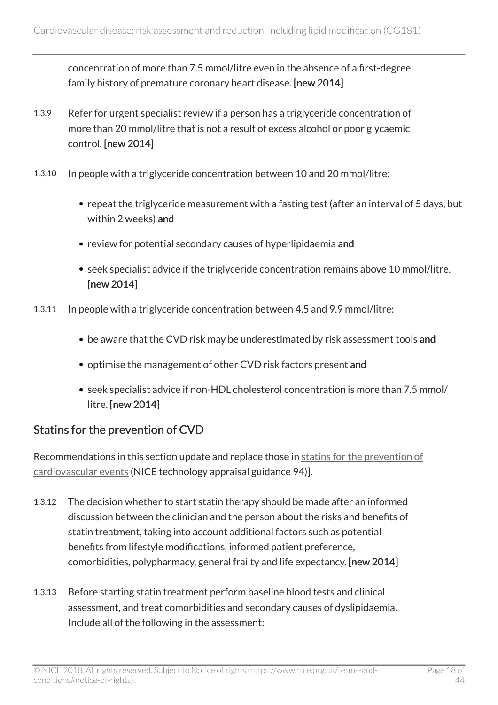concentration of more than 7.5 mmol/litre even in the absence of a first-degree family history of premature coronary heart disease. [new 2014]

- 1.3.9 Refer for urgent specialist review if a person has a triglyceride concentration of more than 20 mmol/litre that is not a result of excess alcohol or poor glycaemic control. [new 2014]
- 1.3.10 In people with a triglyceride concentration between 10 and 20 mmol/litre:
	- repeat the triglyceride measurement with a fasting test (after an interval of 5 days, but within 2 weeks) and
	- review for potential secondary causes of hyperlipidaemia and
	- seek specialist advice if the triglyceride concentration remains above 10 mmol/litre. [new 2014]
- 1.3.11 In people with a triglyceride concentration between 4.5 and 9.9 mmol/litre:
	- be aware that the CVD risk may be underestimated by risk assessment tools and
	- optimise the management of other CVD risk factors present and
	- seek specialist advice if non-HDL cholesterol concentration is more than 7.5 mmol/ litre. [new 2014]

#### Statins for the prevention of CVD

Recommendations in this section update and replace those in [statins for the prevention of](http://www.nice.org.uk/guidance/ta94) [cardiovascular events](http://www.nice.org.uk/guidance/ta94) (NICE technology appraisal guidance 94)].

- 1.3.12 The decision whether to start statin therapy should be made after an informed discussion between the clinician and the person about the risks and benefits of statin treatment, taking into account additional factors such as potential benefits from lifestyle modifications, informed patient preference, comorbidities, polypharmacy, general frailty and life expectancy. [new 2014]
- 1.3.13 Before starting statin treatment perform baseline blood tests and clinical assessment, and treat comorbidities and secondary causes of dyslipidaemia. Include all of the following in the assessment: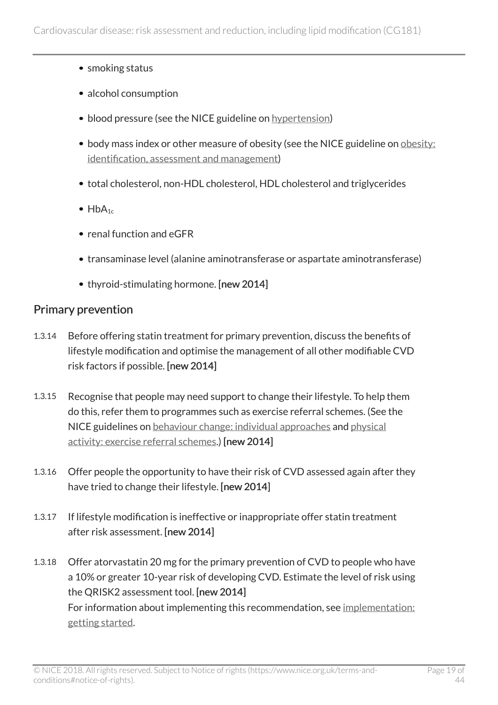- smoking status
- alcohol consumption
- blood pressure (see the NICE guideline on [hypertension](http://www.nice.org.uk/guidance/cg127))
- body mass index or other measure of obesity (see the NICE guideline on [obesity:](http://www.nice.org.uk/guidance/cg189) [identification, assessment and management](http://www.nice.org.uk/guidance/cg189))
- total cholesterol, non-HDL cholesterol, HDL cholesterol and triglycerides
- $\bullet$  HbA<sub>1c</sub>
- renal function and eGFR
- transaminase level (alanine aminotransferase or aspartate aminotransferase)
- thyroid-stimulating hormone. [new 2014]

#### Primary prevention

- 1.3.14 Before offering statin treatment for primary prevention, discuss the benefits of lifestyle modification and optimise the management of all other modifiable CVD risk factors if possible. [new 2014]
- 1.3.15 Recognise that people may need support to change their lifestyle. To help them do this, refer them to programmes such as exercise referral schemes. (See the NICE guidelines on [behaviour change: individual approaches](http://www.nice.org.uk/guidance/ph49) and [physical](http://www.nice.org.uk/guidance/ph54) [activity: exercise referral schemes](http://www.nice.org.uk/guidance/ph54).) [new 2014]
- 1.3.16 Offer people the opportunity to have their risk of CVD assessed again after they have tried to change their lifestyle. [new 2014]
- 1.3.17 If lifestyle modification is ineffective or inappropriate offer statin treatment after risk assessment. [new 2014]
- 1.3.18 Offer atorvastatin 20 mg for the primary prevention of CVD to people who have a 10% or greater 10-year risk of developing CVD. Estimate the level of risk using the QRISK2 assessment tool. [new 2014] For information about implementing this recommendation, see [implementation:](http://www.nice.org.uk/guidance/cg181/chapter/implementation-getting-started) [getting started.](http://www.nice.org.uk/guidance/cg181/chapter/implementation-getting-started)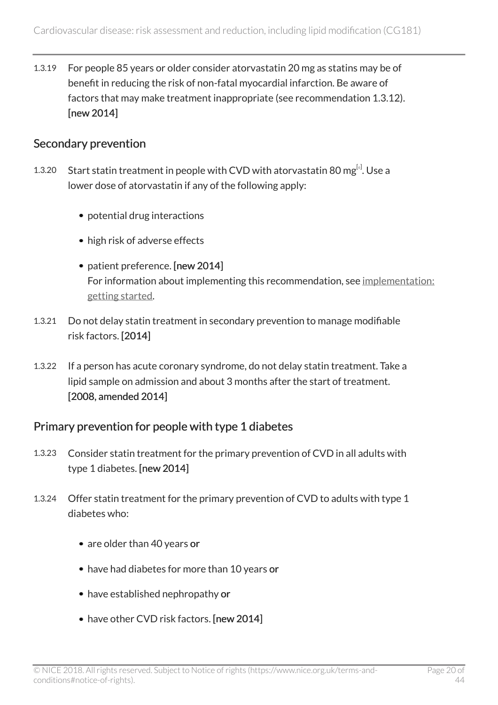1.3.19 For people 85 years or older consider atorvastatin 20 mg as statins may be of benefit in reducing the risk of non-fatal myocardial infarction. Be aware of factors that may make treatment inappropriate (see recommendation 1.3.12). [new 2014]

#### Secondary prevention

- <span id="page-19-0"></span>1.3.20 Start statin treatment in people with CVD with atorvastatin 80 mg $^{[s]}$ . Use a lower dose of atorvastatin if any of the following apply:
	- potential drug interactions
	- high risk of adverse effects
	- patient preference. [new 2014] For information about implementing this recommendation, see [implementation:](http://www.nice.org.uk/guidance/cg181/chapter/implementation-getting-started) [getting started](http://www.nice.org.uk/guidance/cg181/chapter/implementation-getting-started).
- 1.3.21 Do not delay statin treatment in secondary prevention to manage modifiable risk factors. [2014]
- 1.3.22 If a person has acute coronary syndrome, do not delay statin treatment. Take a lipid sample on admission and about 3 months after the start of treatment. [2008, amended 2014]

#### Primary prevention for people with type 1 diabetes

- 1.3.23 Consider statin treatment for the primary prevention of CVD in all adults with type 1 diabetes. [new 2014]
- 1.3.24 Offer statin treatment for the primary prevention of CVD to adults with type 1 diabetes who:
	- are older than 40 years or
	- have had diabetes for more than 10 years or
	- have established nephropathy or
	- have other CVD risk factors. [new 2014]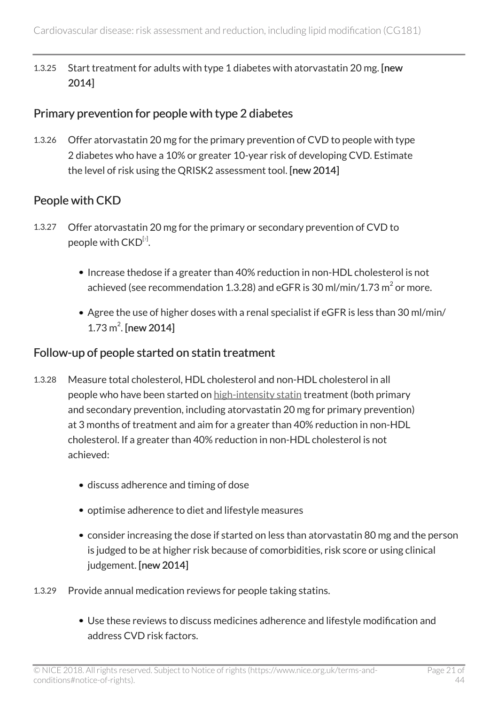1.3.25 Start treatment for adults with type 1 diabetes with atorvastatin 20 mg. [new 2014]

#### Primary prevention for people with type 2 diabetes

1.3.26 Offer atorvastatin 20 mg for the primary prevention of CVD to people with type 2 diabetes who have a 10% or greater 10-year risk of developing CVD. Estimate the level of risk using the QRISK2 assessment tool. [new 2014]

### People with CKD

- <span id="page-20-0"></span>1.3.27 Offer atorvastatin 20 mg for the primary or secondary prevention of CVD to people with  $\mathsf{CKD}^{[\tau]}.$ 
	- Increase thedose if a greater than 40% reduction in non-HDL cholesterol is not achieved (see recommendation 1.3.28) and eGFR is 30 ml/min/1.73  $\mathrm{m}^{2}$  or more.
	- Agree the use of higher doses with a renal specialist if eGFR is less than 30 ml/min/  $1.73 \text{ m}^2$ . [new 2014]

#### Follow-up of people started on statin treatment

- 1.3.28 Measure total cholesterol, HDL cholesterol and non-HDL cholesterol in all people who have been started on [high-intensity statin](http://live-publications.nice.org.uk/recommendations#high-intensity-statin) treatment (both primary and secondary prevention, including atorvastatin 20 mg for primary prevention) at 3 months of treatment and aim for a greater than 40% reduction in non-HDL cholesterol. If a greater than 40% reduction in non-HDL cholesterol is not achieved:
	- discuss adherence and timing of dose
	- optimise adherence to diet and lifestyle measures
	- consider increasing the dose if started on less than atorvastatin 80 mg and the person is judged to be at higher risk because of comorbidities, risk score or using clinical judgement. [new 2014]
- 1.3.29 Provide annual medication reviews for people taking statins.
	- Use these reviews to discuss medicines adherence and lifestyle modification and address CVD risk factors.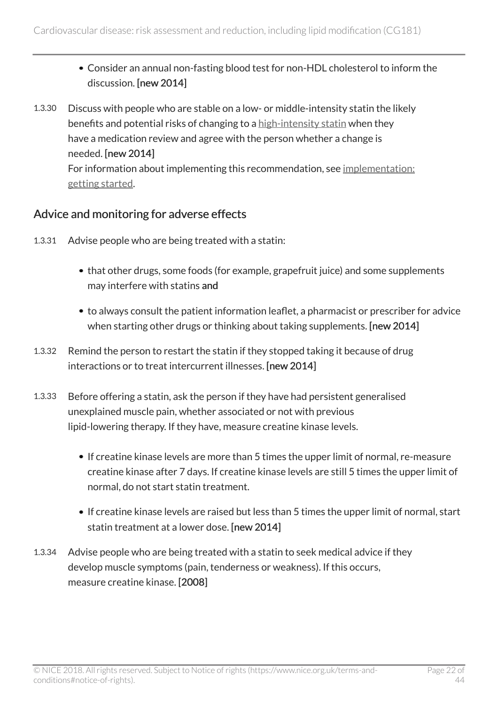- Consider an annual non-fasting blood test for non-HDL cholesterol to inform the discussion. [new 2014]
- 1.3.30 Discuss with people who are stable on a low- or middle-intensity statin the likely benefits and potential risks of changing to a [high-intensity statin](http://live-publications.nice.org.uk/recommendations#high-intensity-statin) when they have a medication review and agree with the person whether a change is needed. [new 2014] For information about implementing this recommendation, see [implementation:](http://www.nice.org.uk/guidance/cg181/chapter/implementation-getting-started) [getting started.](http://www.nice.org.uk/guidance/cg181/chapter/implementation-getting-started)

#### Advice and monitoring for adverse effects

- 1.3.31 Advise people who are being treated with a statin:
	- that other drugs, some foods (for example, grapefruit juice) and some supplements may interfere with statins and
	- to always consult the patient information leaflet, a pharmacist or prescriber for advice when starting other drugs or thinking about taking supplements. [new 2014]
- 1.3.32 Remind the person to restart the statin if they stopped taking it because of drug interactions or to treat intercurrent illnesses. [new 2014]
- 1.3.33 Before offering a statin, ask the person if they have had persistent generalised unexplained muscle pain, whether associated or not with previous lipid-lowering therapy. If they have, measure creatine kinase levels.
	- If creatine kinase levels are more than 5 times the upper limit of normal, re-measure creatine kinase after 7 days. If creatine kinase levels are still 5 times the upper limit of normal, do not start statin treatment.
	- If creatine kinase levels are raised but less than 5 times the upper limit of normal, start statin treatment at a lower dose. [new 2014]
- 1.3.34 Advise people who are being treated with a statin to seek medical advice if they develop muscle symptoms (pain, tenderness or weakness). If this occurs, measure creatine kinase. [2008]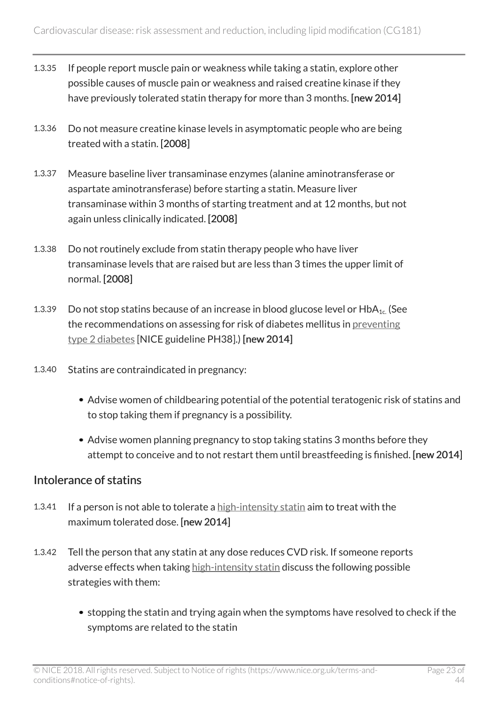- 1.3.35 If people report muscle pain or weakness while taking a statin, explore other possible causes of muscle pain or weakness and raised creatine kinase if they have previously tolerated statin therapy for more than 3 months. [new 2014]
- 1.3.36 Do not measure creatine kinase levels in asymptomatic people who are being treated with a statin. [2008]
- 1.3.37 Measure baseline liver transaminase enzymes (alanine aminotransferase or aspartate aminotransferase) before starting a statin. Measure liver transaminase within 3 months of starting treatment and at 12 months, but not again unless clinically indicated. [2008]
- 1.3.38 Do not routinely exclude from statin therapy people who have liver transaminase levels that are raised but are less than 3 times the upper limit of normal. [2008]
- 1.3.39 Do not stop statins because of an increase in blood glucose level or  $HbA_{1c}$ . (See the recommendations on assessing for risk of diabetes mellitus in [preventing](http://www.nice.org.uk/guidance/ph38) [type 2 diabetes](http://www.nice.org.uk/guidance/ph38) [NICE guideline PH38].) [new 2014]
- 1.3.40 Statins are contraindicated in pregnancy:
	- Advise women of childbearing potential of the potential teratogenic risk of statins and to stop taking them if pregnancy is a possibility.
	- Advise women planning pregnancy to stop taking statins 3 months before they attempt to conceive and to not restart them until breastfeeding is finished. [new 2014]

#### Intolerance of statins

- 1.3.41 If a person is not able to tolerate a [high-intensity statin](http://live-publications.nice.org.uk/recommendations#high-intensity-statin) aim to treat with the maximum tolerated dose. [new 2014]
- 1.3.42 Tell the person that any statin at any dose reduces CVD risk. If someone reports adverse effects when taking [high-intensity statin](http://live-publications.nice.org.uk/recommendations#high-intensity-statin) discuss the following possible strategies with them:
	- stopping the statin and trying again when the symptoms have resolved to check if the symptoms are related to the statin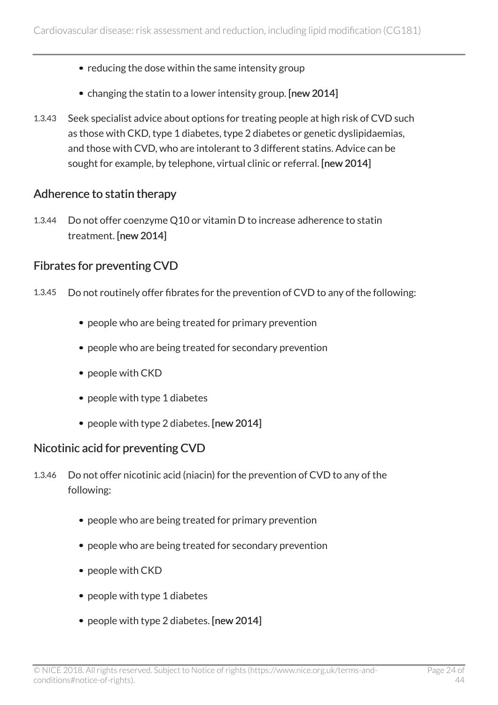- reducing the dose within the same intensity group
- changing the statin to a lower intensity group. [new 2014]
- 1.3.43 Seek specialist advice about options for treating people at high risk of CVD such as those with CKD, type 1 diabetes, type 2 diabetes or genetic dyslipidaemias, and those with CVD, who are intolerant to 3 different statins. Advice can be sought for example, by telephone, virtual clinic or referral. [new 2014]

#### Adherence to statin therapy

1.3.44 Do not offer coenzyme Q10 or vitamin D to increase adherence to statin treatment. [new 2014]

#### Fibrates for preventing CVD

- 1.3.45 Do not routinely offer fibrates for the prevention of CVD to any of the following:
	- people who are being treated for primary prevention
	- people who are being treated for secondary prevention
	- people with CKD
	- people with type 1 diabetes
	- people with type 2 diabetes. [new 2014]

#### Nicotinic acid for preventing CVD

- 1.3.46 Do not offer nicotinic acid (niacin) for the prevention of CVD to any of the following:
	- people who are being treated for primary prevention
	- people who are being treated for secondary prevention
	- people with CKD
	- people with type 1 diabetes
	- people with type 2 diabetes. [new 2014]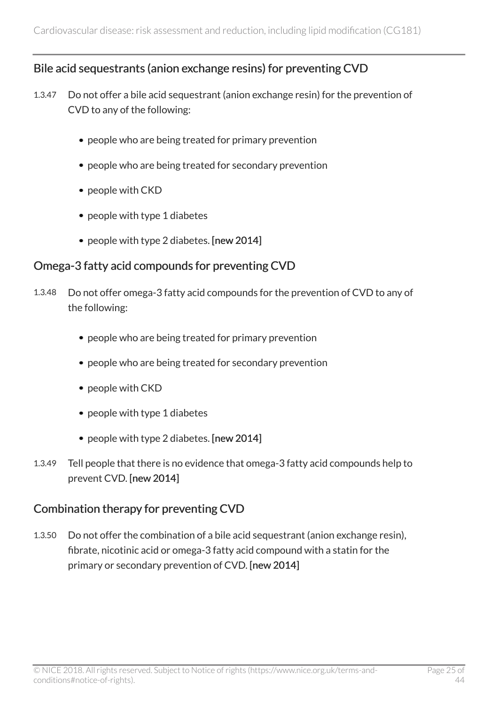#### Bile acid sequestrants (anion exchange resins) for preventing CVD

- 1.3.47 Do not offer a bile acid sequestrant (anion exchange resin) for the prevention of CVD to any of the following:
	- people who are being treated for primary prevention
	- people who are being treated for secondary prevention
	- people with CKD
	- people with type 1 diabetes
	- people with type 2 diabetes. [new 2014]

#### Omega-3 fatty acid compounds for preventing CVD

- 1.3.48 Do not offer omega-3 fatty acid compounds for the prevention of CVD to any of the following:
	- people who are being treated for primary prevention
	- people who are being treated for secondary prevention
	- people with CKD
	- people with type 1 diabetes
	- people with type 2 diabetes. [new 2014]
- 1.3.49 Tell people that there is no evidence that omega-3 fatty acid compounds help to prevent CVD. [new 2014]

#### Combination therapy for preventing CVD

1.3.50 Do not offer the combination of a bile acid sequestrant (anion exchange resin), fibrate, nicotinic acid or omega-3 fatty acid compound with a statin for the primary or secondary prevention of CVD. [new 2014]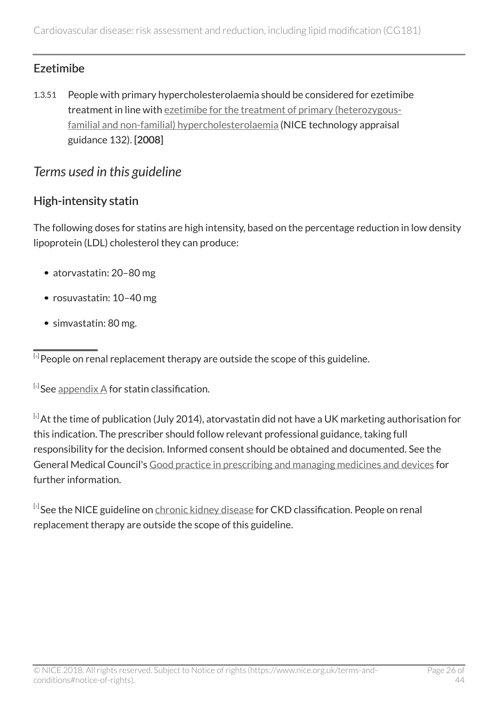### Ezetimibe

1.3.51 People with primary hypercholesterolaemia should be considered for ezetimibe treatment in line with [ezetimibe for the treatment of primary \(heterozygous](http://www.nice.org.uk/guidance/ta132)[familial and non-familial\) hypercholesterolaemia](http://www.nice.org.uk/guidance/ta132) (NICE technology appraisal guidance 132). [2008]

### <span id="page-25-0"></span>*Terms used in this guideline*

### High-intensity statin

The following doses for statins are high intensity, based on the percentage reduction in low density lipoprotein (LDL) cholesterol they can produce:

- atorvastatin: 20–80 mg
- rosuvastatin: 10–40 mg
- simvastatin: 80 mg.

<span id="page-25-2"></span> $^{\text{\tiny{[s]}}}$ See <u>[appendix A](http://www.nice.org.uk/guidance/cg181/chapter/appendix-a-grouping-of-statins)</u> for statin classification.

<span id="page-25-3"></span>[[6](#page-19-0)] At the time of publication (July 2014), atorvastatin did not have a UK marketing authorisation for this indication. The prescriber should follow relevant professional guidance, taking full responsibility for the decision. Informed consent should be obtained and documented. See the General Medical Council's [Good practice in prescribing and managing medicines and devices](http://www.gmc-uk.org/guidance/ethical_guidance/14327.asp) for further information.

<span id="page-25-4"></span> $^{\left[ \tau\right] }$ See the NICE guideline on <u>[chronic kidney disease](http://www.nice.org.uk/guidance/cg182)</u> for CKD classification. People on renal replacement therapy are outside the scope of this guideline.

<span id="page-25-1"></span> $^{[4]}$  $^{[4]}$  $^{[4]}$  People on renal replacement therapy are outside the scope of this guideline.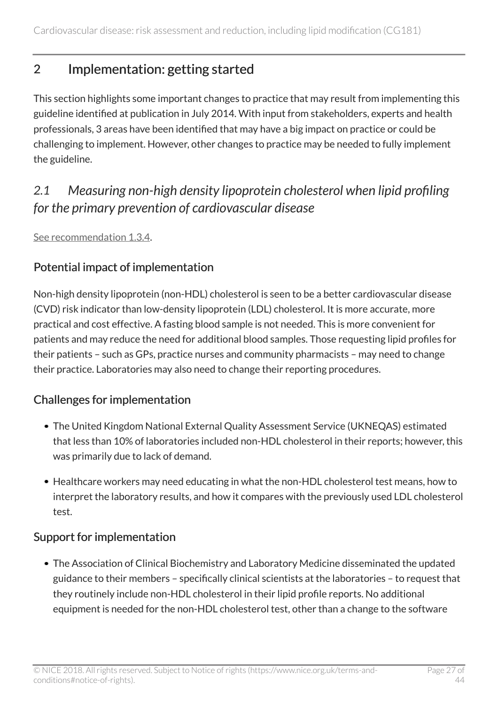# <span id="page-26-0"></span>2 Implementation: getting started

This section highlights some important changes to practice that may result from implementing this guideline identified at publication in July 2014. With input from stakeholders, experts and health professionals, 3 areas have been identified that may have a big impact on practice or could be challenging to implement. However, other changes to practice may be needed to fully implement the guideline.

### <span id="page-26-1"></span>*2.1 Measuring non-high density lipoprotein cholesterol when lipid profiling for the primary prevention of cardiovascular disease*

[See recommendation 1.3.4](https://www.nice.org.uk/guidance/cg181/chapter/recommendations#lipid-measurement-and-referral).

#### Potential impact of implementation

Non-high density lipoprotein (non-HDL) cholesterol is seen to be a better cardiovascular disease (CVD) risk indicator than low-density lipoprotein (LDL) cholesterol. It is more accurate, more practical and cost effective. A fasting blood sample is not needed. This is more convenient for patients and may reduce the need for additional blood samples. Those requesting lipid profiles for their patients – such as GPs, practice nurses and community pharmacists – may need to change their practice. Laboratories may also need to change their reporting procedures.

### Challenges for implementation

- The United Kingdom National External Quality Assessment Service (UKNEQAS) estimated that less than 10% of laboratories included non-HDL cholesterol in their reports; however, this was primarily due to lack of demand.
- Healthcare workers may need educating in what the non-HDL cholesterol test means, how to interpret the laboratory results, and how it compares with the previously used LDL cholesterol test.

### Support for implementation

The Association of Clinical Biochemistry and Laboratory Medicine disseminated the updated guidance to their members – specifically clinical scientists at the laboratories – to request that they routinely include non-HDL cholesterol in their lipid profile reports. No additional equipment is needed for the non-HDL cholesterol test, other than a change to the software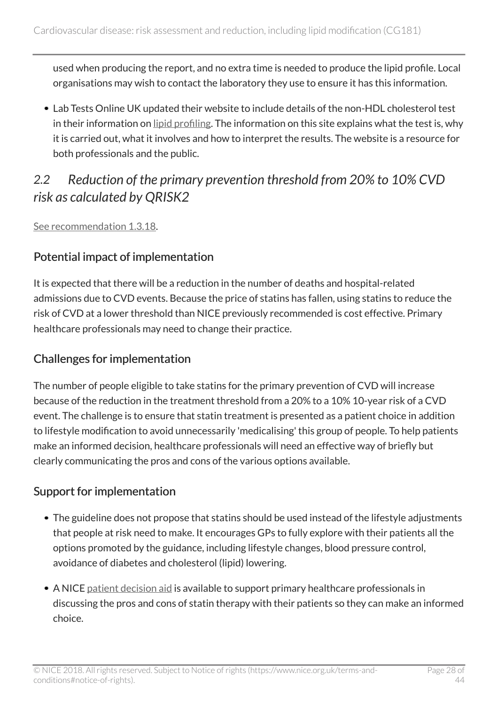used when producing the report, and no extra time is needed to produce the lipid profile. Local organisations may wish to contact the laboratory they use to ensure it has this information.

Lab Tests Online UK updated their website to include details of the non-HDL cholesterol test in their information on [lipid profiling.](http://labtestsonline.org/understanding/analytes/lipid/tab/glance/) The information on this site explains what the test is, why it is carried out, what it involves and how to interpret the results. The website is a resource for both professionals and the public.

# <span id="page-27-0"></span>*2.2 Reduction of the primary prevention threshold from 20% to 10% CVD risk as calculated by QRISK2*

[See recommendation 1.3.18](https://www.nice.org.uk/guidance/cg181/chapter/recommendations#primary-prevention).

### Potential impact of implementation

It is expected that there will be a reduction in the number of deaths and hospital-related admissions due to CVD events. Because the price of statins has fallen, using statins to reduce the risk of CVD at a lower threshold than NICE previously recommended is cost effective. Primary healthcare professionals may need to change their practice.

### Challenges for implementation

The number of people eligible to take statins for the primary prevention of CVD will increase because of the reduction in the treatment threshold from a 20% to a 10% 10-year risk of a CVD event. The challenge is to ensure that statin treatment is presented as a patient choice in addition to lifestyle modification to avoid unnecessarily 'medicalising' this group of people. To help patients make an informed decision, healthcare professionals will need an effective way of briefly but clearly communicating the pros and cons of the various options available.

### Support for implementation

- The guideline does not propose that statins should be used instead of the lifestyle adjustments that people at risk need to make. It encourages GPs to fully explore with their patients all the options promoted by the guidance, including lifestyle changes, blood pressure control, avoidance of diabetes and cholesterol (lipid) lowering.
- A NICE [patient decision aid](http://www.nice.org.uk/guidance/cg181/resources) is available to support primary healthcare professionals in discussing the pros and cons of statin therapy with their patients so they can make an informed choice.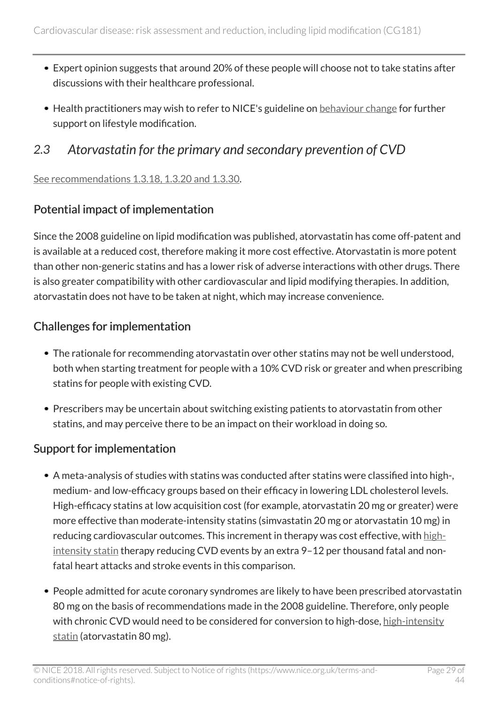- Expert opinion suggests that around 20% of these people will choose not to take statins after discussions with their healthcare professional.
- Health practitioners may wish to refer to NICE's guideline on [behaviour change](http://www.nice.org.uk/guidance/ph49) for further support on lifestyle modification.

### <span id="page-28-0"></span>*2.3 Atorvastatin for the primary and secondary prevention of CVD*

#### [See recommendations 1.3.18, 1.3.20 and 1.3.30](https://www.nice.org.uk/guidance/cg181/chapter/recommendations#primary-prevention).

### Potential impact of implementation

Since the 2008 guideline on lipid modification was published, atorvastatin has come off-patent and is available at a reduced cost, therefore making it more cost effective. Atorvastatin is more potent than other non-generic statins and has a lower risk of adverse interactions with other drugs. There is also greater compatibility with other cardiovascular and lipid modifying therapies. In addition, atorvastatin does not have to be taken at night, which may increase convenience.

#### Challenges for implementation

- The rationale for recommending atorvastatin over other statins may not be well understood, both when starting treatment for people with a 10% CVD risk or greater and when prescribing statins for people with existing CVD.
- Prescribers may be uncertain about switching existing patients to atorvastatin from other statins, and may perceive there to be an impact on their workload in doing so.

### Support for implementation

- A meta-analysis of studies with statins was conducted after statins were classified into high-, medium- and low-efficacy groups based on their efficacy in lowering LDL cholesterol levels. High-efficacy statins at low acquisition cost (for example, atorvastatin 20 mg or greater) were more effective than moderate-intensity statins (simvastatin 20 mg or atorvastatin 10 mg) in reducing cardiovascular outcomes. This increment in therapy was cost effective, with [high](http://live-publications.nice.org.uk/recommendations#high-intensity-statin)[intensity statin](http://live-publications.nice.org.uk/recommendations#high-intensity-statin) therapy reducing CVD events by an extra 9–12 per thousand fatal and nonfatal heart attacks and stroke events in this comparison.
- People admitted for acute coronary syndromes are likely to have been prescribed atorvastatin 80 mg on the basis of recommendations made in the 2008 guideline. Therefore, only people with chronic CVD would need to be considered for conversion to high-dose, [high-intensity](http://live-publications.nice.org.uk/recommendations#high-intensity-statin) [statin](http://live-publications.nice.org.uk/recommendations#high-intensity-statin) (atorvastatin 80 mg).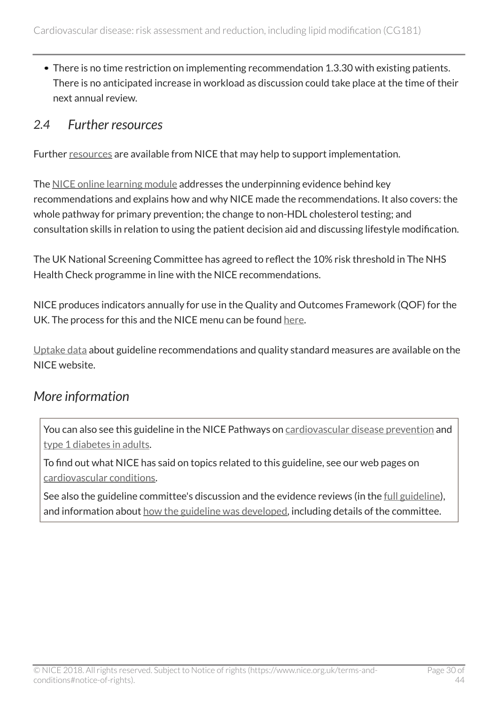There is no time restriction on implementing recommendation 1.3.30 with existing patients. There is no anticipated increase in workload as discussion could take place at the time of their next annual review.

### <span id="page-29-0"></span>*2.4 Further resources*

Further [resources](http://www.nice.org.uk/guidance/cg181/resources) are available from NICE that may help to support implementation.

The [NICE online learning module](http://elearning.nice.org.uk/course/view.php?id=10) addresses the underpinning evidence behind key recommendations and explains how and why NICE made the recommendations. It also covers: the whole pathway for primary prevention; the change to non-HDL cholesterol testing; and consultation skills in relation to using the patient decision aid and discussing lifestyle modification.

The UK National Screening Committee has agreed to reflect the 10% risk threshold in The NHS Health Check programme in line with the NICE recommendations.

NICE produces indicators annually for use in the Quality and Outcomes Framework (QOF) for the UK. The process for this and the NICE menu can be found [here](http://www.nice.org.uk/standards-and-indicators/qofindicators).

[Uptake data](http://www.nice.org.uk/uptake) about guideline recommendations and quality standard measures are available on the NICE website.

### <span id="page-29-1"></span>*More information*

You can also see this guideline in the NICE Pathways on [cardiovascular disease prevention](https://pathways.nice.org.uk/pathways/cardiovascular-disease-prevention) and [type 1 diabetes in adults.](https://pathways.nice.org.uk/pathways/type-1-diabetes-in-adults)

To find out what NICE has said on topics related to this guideline, see our web pages on [cardiovascular conditions.](https://www.nice.org.uk/guidance/conditions-and-diseases/cardiovascular-conditions)

See also the guideline committee's discussion and the evidence reviews (in the [full guideline\)](http://www.nice.org.uk/Guidance/CG181/evidence), and information about [how the guideline was developed](http://www.nice.org.uk/Guidance/CG181/documents), including details of the committee.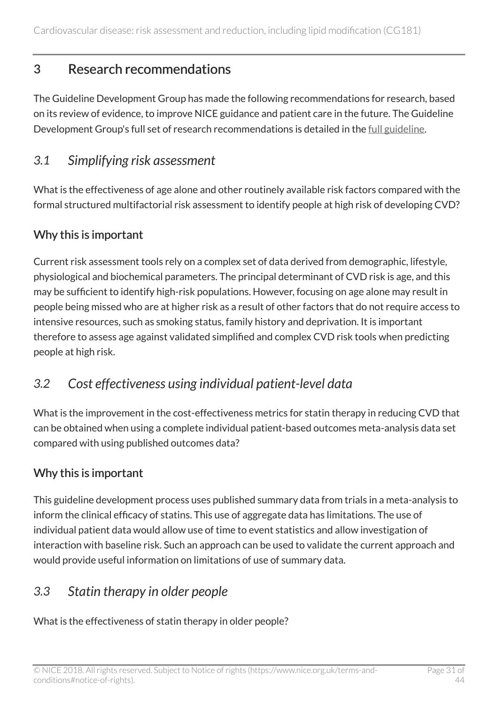# <span id="page-30-0"></span>3 Research recommendations

The Guideline Development Group has made the following recommendations for research, based on its review of evidence, to improve NICE guidance and patient care in the future. The Guideline Development Group's full set of research recommendations is detailed in the [full guideline](http://www.nice.org.uk/guidance/cg181/evidence).

### <span id="page-30-1"></span>*3.1 Simplifying risk assessment*

What is the effectiveness of age alone and other routinely available risk factors compared with the formal structured multifactorial risk assessment to identify people at high risk of developing CVD?

#### Why this is important

Current risk assessment tools rely on a complex set of data derived from demographic, lifestyle, physiological and biochemical parameters. The principal determinant of CVD risk is age, and this may be sufficient to identify high-risk populations. However, focusing on age alone may result in people being missed who are at higher risk as a result of other factors that do not require access to intensive resources, such as smoking status, family history and deprivation. It is important therefore to assess age against validated simplified and complex CVD risk tools when predicting people at high risk.

### <span id="page-30-2"></span>*3.2 Cost effectiveness using individual patient-level data*

What is the improvement in the cost-effectiveness metrics for statin therapy in reducing CVD that can be obtained when using a complete individual patient-based outcomes meta-analysis data set compared with using published outcomes data?

### Why this is important

This guideline development process uses published summary data from trials in a meta-analysis to inform the clinical efficacy of statins. This use of aggregate data has limitations. The use of individual patient data would allow use of time to event statistics and allow investigation of interaction with baseline risk. Such an approach can be used to validate the current approach and would provide useful information on limitations of use of summary data.

### <span id="page-30-3"></span>*3.3 Statin therapy in older people*

What is the effectiveness of statin therapy in older people?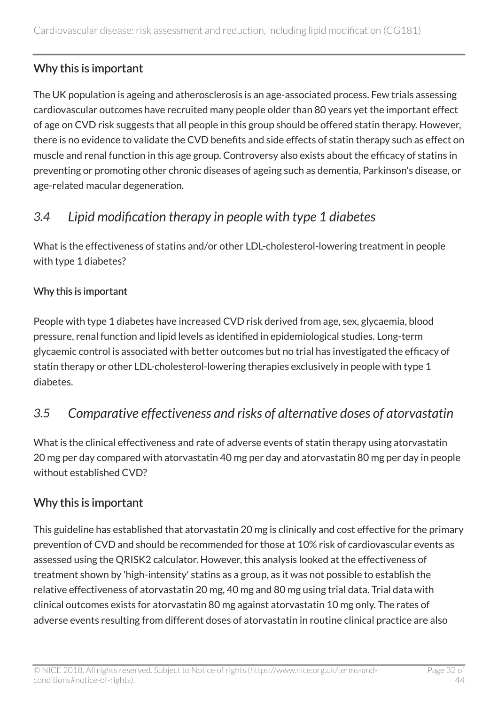### Why this is important

The UK population is ageing and atherosclerosis is an age-associated process. Few trials assessing cardiovascular outcomes have recruited many people older than 80 years yet the important effect of age on CVD risk suggests that all people in this group should be offered statin therapy. However, there is no evidence to validate the CVD benefits and side effects of statin therapy such as effect on muscle and renal function in this age group. Controversy also exists about the efficacy of statins in preventing or promoting other chronic diseases of ageing such as dementia, Parkinson's disease, or age-related macular degeneration.

# <span id="page-31-0"></span>*3.4 Lipid modification therapy in people with type 1 diabetes*

What is the effectiveness of statins and/or other LDL-cholesterol-lowering treatment in people with type 1 diabetes?

#### Why this is important

People with type 1 diabetes have increased CVD risk derived from age, sex, glycaemia, blood pressure, renal function and lipid levels as identified in epidemiological studies. Long-term glycaemic control is associated with better outcomes but no trial has investigated the efficacy of statin therapy or other LDL-cholesterol-lowering therapies exclusively in people with type 1 diabetes.

### <span id="page-31-1"></span>*3.5 Comparative effectiveness and risks of alternative doses of atorvastatin*

What is the clinical effectiveness and rate of adverse events of statin therapy using atorvastatin 20 mg per day compared with atorvastatin 40 mg per day and atorvastatin 80 mg per day in people without established CVD?

### Why this is important

This guideline has established that atorvastatin 20 mg is clinically and cost effective for the primary prevention of CVD and should be recommended for those at 10% risk of cardiovascular events as assessed using the QRISK2 calculator. However, this analysis looked at the effectiveness of treatment shown by 'high-intensity' statins as a group, as it was not possible to establish the relative effectiveness of atorvastatin 20 mg, 40 mg and 80 mg using trial data. Trial data with clinical outcomes exists for atorvastatin 80 mg against atorvastatin 10 mg only. The rates of adverse events resulting from different doses of atorvastatin in routine clinical practice are also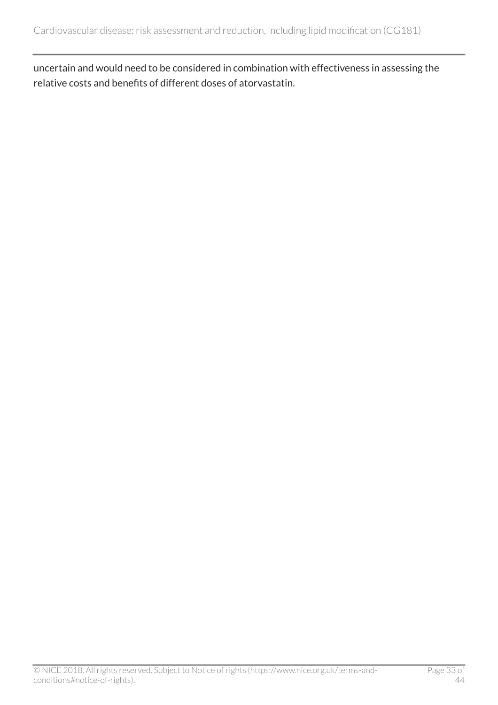uncertain and would need to be considered in combination with effectiveness in assessing the relative costs and benefits of different doses of atorvastatin.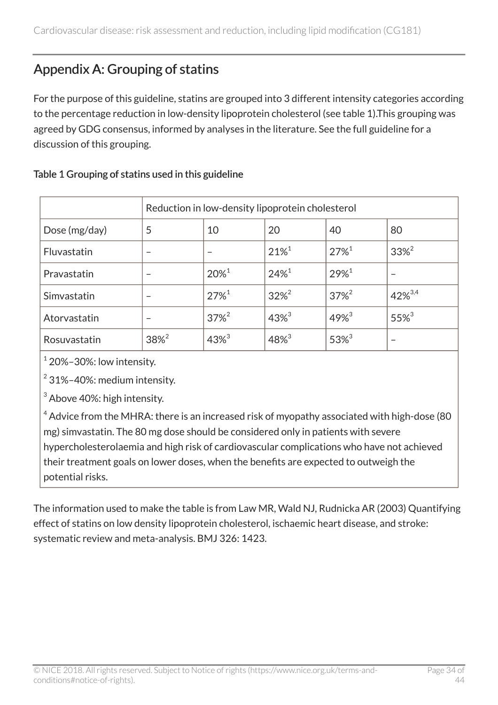# <span id="page-33-0"></span>Appendix A: Grouping of statins

For the purpose of this guideline, statins are grouped into 3 different intensity categories according to the percentage reduction in low-density lipoprotein cholesterol (see table 1).This grouping was agreed by GDG consensus, informed by analyses in the literature. See the full guideline for a discussion of this grouping.

|               | Reduction in low-density lipoprotein cholesterol |                     |                     |                     |                     |
|---------------|--------------------------------------------------|---------------------|---------------------|---------------------|---------------------|
| Dose (mg/day) | 5                                                | 10                  | 20                  | 40                  | 80                  |
| Fluvastatin   |                                                  |                     | $21\%$ <sup>1</sup> | $27\%$ <sup>1</sup> | $33\%^{2}$          |
| Pravastatin   |                                                  | $20\%$ <sup>1</sup> | $24%^{1}$           | $29%^{1}$           |                     |
| Simvastatin   |                                                  | $27\%$ <sup>1</sup> | $32\%^{2}$          | $37\%^{2}$          | $42\%^{3,4}$        |
| Atorvastatin  |                                                  | $37\%^{2}$          | $43\%^{3}$          | $49%^{3}$           | $55\%$ <sup>3</sup> |
| Rosuvastatin  | $38\%^{2}$                                       | $43\%^{3}$          | $48\%^{3}$          | $53\%^{3}$          |                     |

#### Table 1 Grouping of statins used in this guideline

 $1$  20%-30%: low intensity.

 $2$  31%-40%: medium intensity.

<sup>3</sup> Above 40%: high intensity.

 $4$  Advice from the MHRA: there is an increased risk of myopathy associated with high-dose (80 mg) simvastatin. The 80 mg dose should be considered only in patients with severe hypercholesterolaemia and high risk of cardiovascular complications who have not achieved their treatment goals on lower doses, when the benefits are expected to outweigh the potential risks.

The information used to make the table is from Law MR, Wald NJ, Rudnicka AR (2003) Quantifying effect of statins on low density lipoprotein cholesterol, ischaemic heart disease, and stroke: systematic review and meta-analysis. BMJ 326: 1423.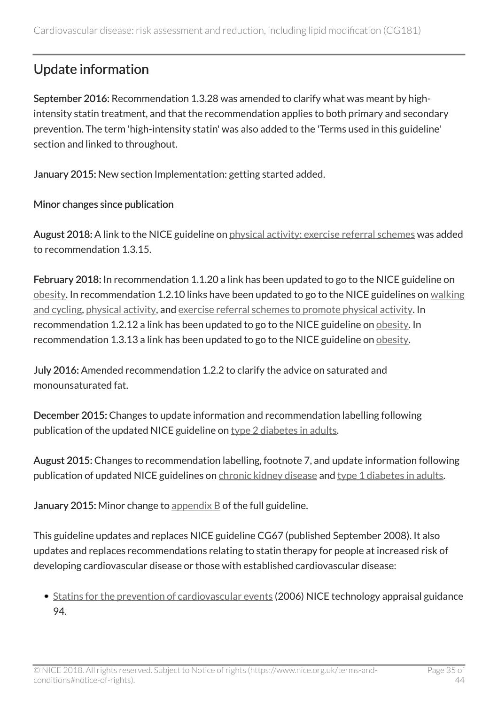# <span id="page-34-0"></span>Update information

September 2016: Recommendation 1.3.28 was amended to clarify what was meant by highintensity statin treatment, and that the recommendation applies to both primary and secondary prevention. The term 'high-intensity statin' was also added to the 'Terms used in this guideline' section and linked to throughout.

January 2015: New section Implementation: getting started added.

#### Minor changes since publication

August 2018: A link to the NICE guideline on [physical activity: exercise referral schemes](http://www.nice.org.uk/guidance/ph54) was added to recommendation 1.3.15.

February 2018: In recommendation 1.1.20 a link has been updated to go to the NICE guideline on [obesity.](http://www.nice.org.uk/guidance/cg189) In recommendation 1.2.10 links have been updated to go to the NICE guidelines on [walking](http://www.nice.org.uk/guidance/ph41) [and cycling,](http://www.nice.org.uk/guidance/ph41) [physical activity](http://www.nice.org.uk/guidance/ph44), and [exercise referral schemes to promote physical activity](http://www.nice.org.uk/guidance/ph54). In recommendation 1.2.12 a link has been updated to go to the NICE guideline on [obesity](http://www.nice.org.uk/guidance/cg189). In recommendation 1.3.13 a link has been updated to go to the NICE guideline on [obesity](http://www.nice.org.uk/guidance/cg189).

July 2016: Amended recommendation 1.2.2 to clarify the advice on saturated and monounsaturated fat.

December 2015: Changes to update information and recommendation labelling following publication of the updated NICE guideline on [type 2 diabetes in adults](http://www.nice.org.uk/guidance/ng28).

August 2015: Changes to recommendation labelling, footnote 7, and update information following publication of updated NICE guidelines on [chronic kidney disease](http://www.nice.org.uk/guidance/cg182) and [type 1 diabetes in adults.](http://www.nice.org.uk/guidance/ng17)

January 2015: Minor change to appendix  $B$  of the full guideline.

This guideline updates and replaces NICE guideline CG67 (published September 2008). It also updates and replaces recommendations relating to statin therapy for people at increased risk of developing cardiovascular disease or those with established cardiovascular disease:

• [Statins for the prevention of cardiovascular events](http://www.nice.org.uk/guidance/ta94) (2006) NICE technology appraisal guidance 94.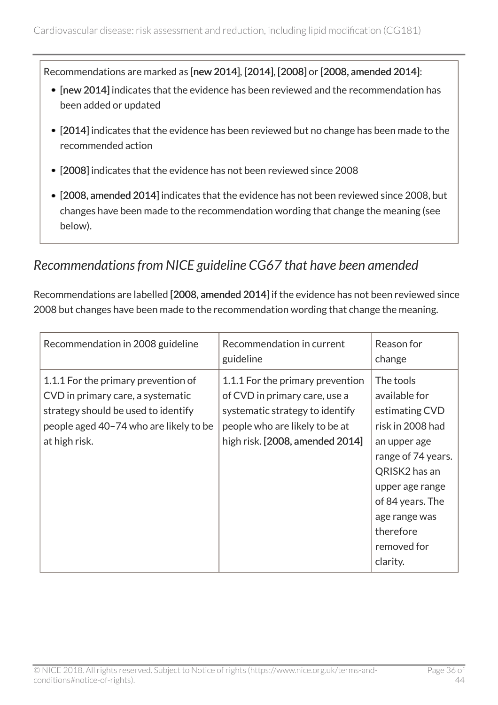Recommendations are marked as [new 2014], [2014], [2008] or [2008, amended 2014]:

- [new 2014] indicates that the evidence has been reviewed and the recommendation has been added or updated
- [2014] indicates that the evidence has been reviewed but no change has been made to the recommended action
- [2008] indicates that the evidence has not been reviewed since 2008
- [2008, amended 2014] indicates that the evidence has not been reviewed since 2008, but changes have been made to the recommendation wording that change the meaning (see below).

### <span id="page-35-0"></span>*Recommendations from NICE guideline CG67 that have been amended*

Recommendations are labelled [2008, amended 2014] if the evidence has not been reviewed since 2008 but changes have been made to the recommendation wording that change the meaning.

| Recommendation in 2008 guideline                                                                                                                                           | Recommendation in current<br>guideline                                                                                                                                    | Reason for<br>change                                                                                                                                                                                                    |
|----------------------------------------------------------------------------------------------------------------------------------------------------------------------------|---------------------------------------------------------------------------------------------------------------------------------------------------------------------------|-------------------------------------------------------------------------------------------------------------------------------------------------------------------------------------------------------------------------|
| 1.1.1 For the primary prevention of<br>CVD in primary care, a systematic<br>strategy should be used to identify<br>people aged 40-74 who are likely to be<br>at high risk. | 1.1.1 For the primary prevention<br>of CVD in primary care, use a<br>systematic strategy to identify<br>people who are likely to be at<br>high risk. [2008, amended 2014] | The tools<br>available for<br>estimating CVD<br>risk in 2008 had<br>an upper age<br>range of 74 years.<br>QRISK2 has an<br>upper age range<br>of 84 years. The<br>age range was<br>therefore<br>removed for<br>clarity. |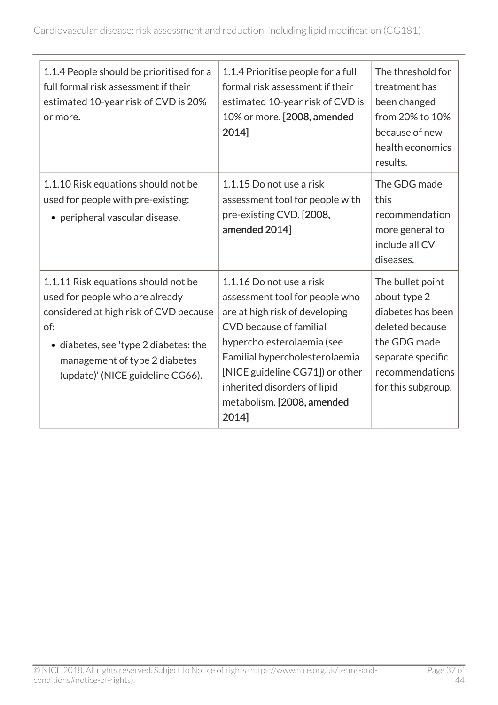| 1.1.4 People should be prioritised for a<br>full formal risk assessment if their<br>estimated 10-year risk of CVD is 20%<br>or more.                                                                                                  | 1.1.4 Prioritise people for a full<br>formal risk assessment if their<br>estimated 10-year risk of CVD is<br>10% or more. [2008, amended<br>2014]                                                                                                                                                 | The threshold for<br>treatment has<br>been changed<br>from 20% to 10%<br>because of new<br>health economics<br>results.                                |
|---------------------------------------------------------------------------------------------------------------------------------------------------------------------------------------------------------------------------------------|---------------------------------------------------------------------------------------------------------------------------------------------------------------------------------------------------------------------------------------------------------------------------------------------------|--------------------------------------------------------------------------------------------------------------------------------------------------------|
| 1.1.10 Risk equations should not be<br>used for people with pre-existing:<br>• peripheral vascular disease.                                                                                                                           | 1.1.15 Do not use a risk<br>assessment tool for people with<br>pre-existing CVD. [2008,<br>amended 2014]                                                                                                                                                                                          | The GDG made<br>this<br>recommendation<br>more general to<br>include all CV<br>diseases.                                                               |
| 1.1.11 Risk equations should not be<br>used for people who are already<br>considered at high risk of CVD because<br>of:<br>• diabetes, see 'type 2 diabetes: the<br>management of type 2 diabetes<br>(update)' (NICE guideline CG66). | 1.1.16 Do not use a risk<br>assessment tool for people who<br>are at high risk of developing<br>CVD because of familial<br>hypercholesterolaemia (see<br>Familial hypercholesterolaemia<br>[NICE guideline CG71]) or other<br>inherited disorders of lipid<br>metabolism. [2008, amended<br>2014] | The bullet point<br>about type 2<br>diabetes has been<br>deleted because<br>the GDG made<br>separate specific<br>recommendations<br>for this subgroup. |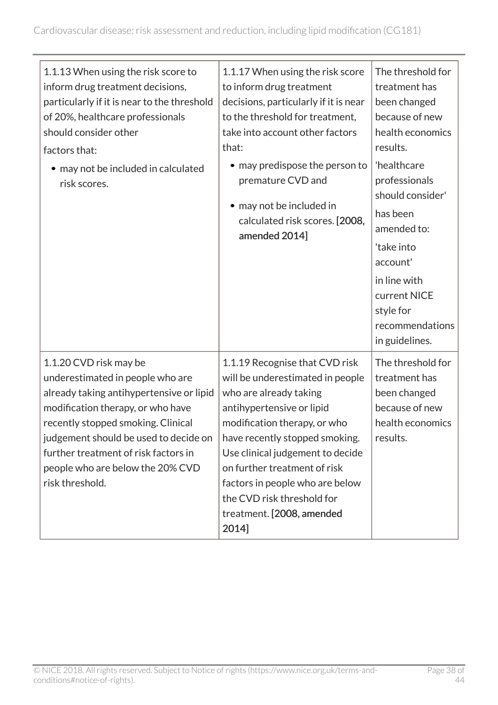| 1.1.13 When using the risk score to<br>inform drug treatment decisions,<br>particularly if it is near to the threshold<br>of 20%, healthcare professionals<br>should consider other<br>factors that:<br>• may not be included in calculated<br>risk scores.                                                               | 1.1.17 When using the risk score<br>to inform drug treatment<br>decisions, particularly if it is near<br>to the threshold for treatment,<br>take into account other factors<br>that:<br>• may predispose the person to<br>premature CVD and<br>• may not be included in<br>calculated risk scores. [2008,<br>amended 2014]                                             | The threshold for<br>treatment has<br>been changed<br>because of new<br>health economics<br>results.<br>'healthcare<br>professionals<br>should consider'<br>has been<br>amended to:<br>'take into<br>account'<br>in line with<br>current NICE<br>style for<br>recommendations<br>in guidelines. |
|---------------------------------------------------------------------------------------------------------------------------------------------------------------------------------------------------------------------------------------------------------------------------------------------------------------------------|------------------------------------------------------------------------------------------------------------------------------------------------------------------------------------------------------------------------------------------------------------------------------------------------------------------------------------------------------------------------|-------------------------------------------------------------------------------------------------------------------------------------------------------------------------------------------------------------------------------------------------------------------------------------------------|
| 1.1.20 CVD risk may be<br>underestimated in people who are<br>already taking antihypertensive or lipid<br>modification therapy, or who have<br>recently stopped smoking. Clinical<br>judgement should be used to decide on<br>further treatment of risk factors in<br>people who are below the 20% CVD<br>risk threshold. | 1.1.19 Recognise that CVD risk<br>will be underestimated in people<br>who are already taking<br>antihypertensive or lipid<br>modification therapy, or who<br>have recently stopped smoking.<br>Use clinical judgement to decide<br>on further treatment of risk<br>factors in people who are below<br>the CVD risk threshold for<br>treatment. [2008, amended<br>2014] | The threshold for<br>treatment has<br>been changed<br>because of new<br>health economics<br>results.                                                                                                                                                                                            |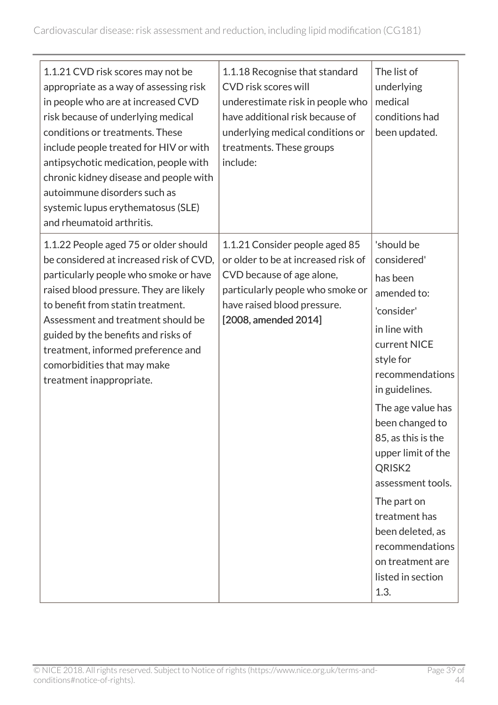| 1.1.21 CVD risk scores may not be<br>appropriate as a way of assessing risk<br>in people who are at increased CVD<br>risk because of underlying medical<br>conditions or treatments. These<br>include people treated for HIV or with<br>antipsychotic medication, people with<br>chronic kidney disease and people with<br>autoimmune disorders such as<br>systemic lupus erythematosus (SLE)<br>and rheumatoid arthritis. | 1.1.18 Recognise that standard<br>CVD risk scores will<br>underestimate risk in people who<br>have additional risk because of<br>underlying medical conditions or<br>treatments. These groups<br>include: | The list of<br>underlying<br>medical<br>conditions had<br>been updated.                                                                                                                                                                                                                                                                                                                                     |
|----------------------------------------------------------------------------------------------------------------------------------------------------------------------------------------------------------------------------------------------------------------------------------------------------------------------------------------------------------------------------------------------------------------------------|-----------------------------------------------------------------------------------------------------------------------------------------------------------------------------------------------------------|-------------------------------------------------------------------------------------------------------------------------------------------------------------------------------------------------------------------------------------------------------------------------------------------------------------------------------------------------------------------------------------------------------------|
| 1.1.22 People aged 75 or older should<br>be considered at increased risk of CVD,<br>particularly people who smoke or have<br>raised blood pressure. They are likely<br>to benefit from statin treatment.<br>Assessment and treatment should be<br>guided by the benefits and risks of<br>treatment, informed preference and<br>comorbidities that may make<br>treatment inappropriate.                                     | 1.1.21 Consider people aged 85<br>or older to be at increased risk of<br>CVD because of age alone,<br>particularly people who smoke or<br>have raised blood pressure.<br>[2008, amended 2014]             | 'should be<br>considered'<br>has been<br>amended to:<br>'consider'<br>in line with<br>current NICE<br>style for<br>recommendations<br>in guidelines.<br>The age value has<br>been changed to<br>85, as this is the<br>upper limit of the<br>QRISK <sub>2</sub><br>assessment tools.<br>The part on<br>treatment has<br>been deleted, as<br>recommendations<br>on treatment are<br>listed in section<br>1.3. |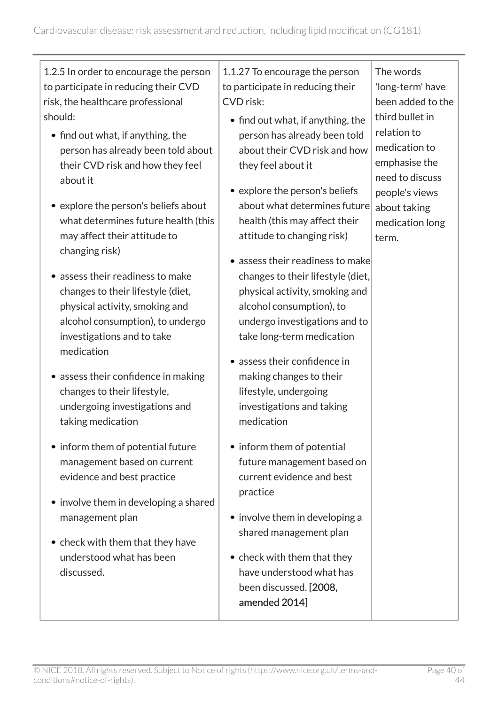$\overline{\phantom{0}}$ 

| 1.2.5 In order to encourage the person<br>to participate in reducing their CVD<br>risk, the healthcare professional<br>should:<br>• find out what, if anything, the<br>person has already been told about<br>their CVD risk and how they feel<br>about it<br>• explore the person's beliefs about<br>what determines future health (this<br>may affect their attitude to<br>changing risk)<br>• assess their readiness to make<br>changes to their lifestyle (diet,<br>physical activity, smoking and<br>alcohol consumption), to undergo<br>investigations and to take<br>medication<br>• assess their confidence in making<br>changes to their lifestyle,<br>undergoing investigations and<br>taking medication<br>• inform them of potential future<br>management based on current<br>evidence and best practice<br>• involve them in developing a shared<br>management plan<br>• check with them that they have<br>understood what has been<br>discussed. | 1.1.27 To encourage the person<br>to participate in reducing their<br>CVD risk:<br>• find out what, if anything, the<br>person has already been told<br>about their CVD risk and how<br>they feel about it<br>• explore the person's beliefs<br>about what determines future<br>health (this may affect their<br>attitude to changing risk)<br>• assess their readiness to make<br>changes to their lifestyle (diet,<br>physical activity, smoking and<br>alcohol consumption), to<br>undergo investigations and to<br>take long-term medication<br>• assess their confidence in<br>making changes to their<br>lifestyle, undergoing<br>investigations and taking<br>medication<br>• inform them of potential<br>future management based on<br>current evidence and best<br>practice<br>• involve them in developing a<br>shared management plan<br>• check with them that they<br>have understood what has<br>been discussed. [2008,<br>amended 2014] | The words<br>'long-term' have<br>been added to the<br>third bullet in<br>relation to<br>medication to<br>emphasise the<br>need to discuss<br>people's views<br>about taking<br>medication long<br>term. |
|---------------------------------------------------------------------------------------------------------------------------------------------------------------------------------------------------------------------------------------------------------------------------------------------------------------------------------------------------------------------------------------------------------------------------------------------------------------------------------------------------------------------------------------------------------------------------------------------------------------------------------------------------------------------------------------------------------------------------------------------------------------------------------------------------------------------------------------------------------------------------------------------------------------------------------------------------------------|--------------------------------------------------------------------------------------------------------------------------------------------------------------------------------------------------------------------------------------------------------------------------------------------------------------------------------------------------------------------------------------------------------------------------------------------------------------------------------------------------------------------------------------------------------------------------------------------------------------------------------------------------------------------------------------------------------------------------------------------------------------------------------------------------------------------------------------------------------------------------------------------------------------------------------------------------------|---------------------------------------------------------------------------------------------------------------------------------------------------------------------------------------------------------|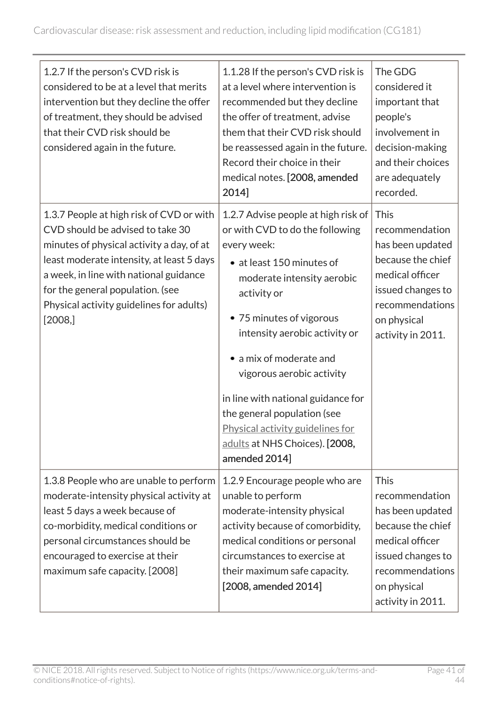| 1.2.7 If the person's CVD risk is<br>considered to be at a level that merits<br>intervention but they decline the offer<br>of treatment, they should be advised<br>that their CVD risk should be<br>considered again in the future.                                                                          | 1.1.28 If the person's CVD risk is<br>at a level where intervention is<br>recommended but they decline<br>the offer of treatment, advise<br>them that their CVD risk should<br>be reassessed again in the future.<br>Record their choice in their<br>medical notes. [2008, amended<br>2014]                                                                                                                                                    | The GDG<br>considered it<br>important that<br>people's<br>involvement in<br>decision-making<br>and their choices<br>are adequately<br>recorded.                       |
|--------------------------------------------------------------------------------------------------------------------------------------------------------------------------------------------------------------------------------------------------------------------------------------------------------------|------------------------------------------------------------------------------------------------------------------------------------------------------------------------------------------------------------------------------------------------------------------------------------------------------------------------------------------------------------------------------------------------------------------------------------------------|-----------------------------------------------------------------------------------------------------------------------------------------------------------------------|
| 1.3.7 People at high risk of CVD or with<br>CVD should be advised to take 30<br>minutes of physical activity a day, of at<br>least moderate intensity, at least 5 days<br>a week, in line with national guidance<br>for the general population. (see<br>Physical activity guidelines for adults)<br>[2008, ] | 1.2.7 Advise people at high risk of<br>or with CVD to do the following<br>every week:<br>• at least 150 minutes of<br>moderate intensity aerobic<br>activity or<br>• 75 minutes of vigorous<br>intensity aerobic activity or<br>a mix of moderate and<br>vigorous aerobic activity<br>in line with national guidance for<br>the general population (see<br>Physical activity guidelines for<br>adults at NHS Choices). [2008,<br>amended 2014] | <b>This</b><br>recommendation<br>has been updated<br>because the chief<br>medical officer<br>issued changes to<br>recommendations<br>on physical<br>activity in 2011. |
| 1.3.8 People who are unable to perform<br>moderate-intensity physical activity at<br>least 5 days a week because of<br>co-morbidity, medical conditions or<br>personal circumstances should be<br>encouraged to exercise at their<br>maximum safe capacity. [2008]                                           | 1.2.9 Encourage people who are<br>unable to perform<br>moderate-intensity physical<br>activity because of comorbidity,<br>medical conditions or personal<br>circumstances to exercise at<br>their maximum safe capacity.<br>[2008, amended 2014]                                                                                                                                                                                               | <b>This</b><br>recommendation<br>has been updated<br>because the chief<br>medical officer<br>issued changes to<br>recommendations<br>on physical<br>activity in 2011. |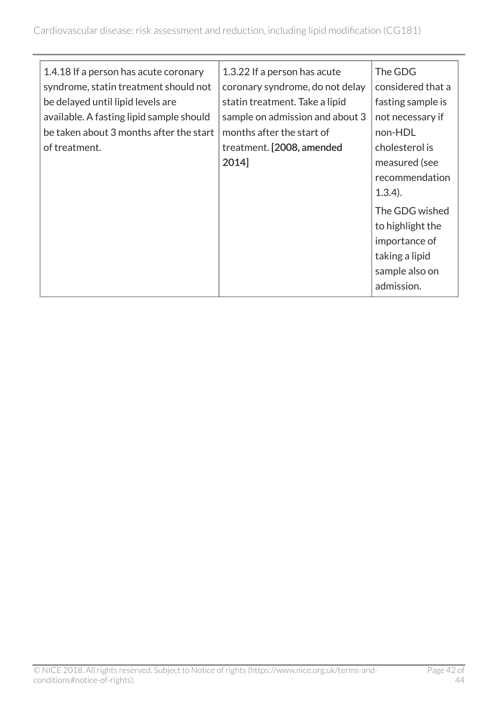|                                          |                                 | The GDG           |
|------------------------------------------|---------------------------------|-------------------|
| 1.4.18 If a person has acute coronary    | 1.3.22 If a person has acute    |                   |
| syndrome, statin treatment should not    | coronary syndrome, do not delay | considered that a |
| be delayed until lipid levels are        | statin treatment. Take a lipid  | fasting sample is |
| available. A fasting lipid sample should | sample on admission and about 3 | not necessary if  |
| be taken about 3 months after the start  | months after the start of       | non-HDL           |
| of treatment.                            | treatment. [2008, amended       | cholesterol is    |
|                                          | 2014]                           | measured (see     |
|                                          |                                 | recommendation    |
|                                          |                                 | $1.3.4$ ).        |
|                                          |                                 | The GDG wished    |
|                                          |                                 | to highlight the  |
|                                          |                                 | importance of     |
|                                          |                                 | taking a lipid    |
|                                          |                                 | sample also on    |
|                                          |                                 | admission.        |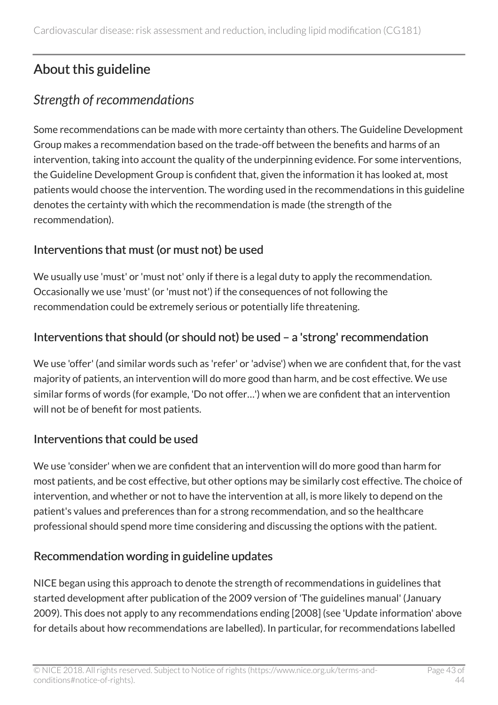# <span id="page-42-0"></span>About this guideline

# <span id="page-42-1"></span>*Strength of recommendations*

Some recommendations can be made with more certainty than others. The Guideline Development Group makes a recommendation based on the trade-off between the benefits and harms of an intervention, taking into account the quality of the underpinning evidence. For some interventions, the Guideline Development Group is confident that, given the information it has looked at, most patients would choose the intervention. The wording used in the recommendations in this guideline denotes the certainty with which the recommendation is made (the strength of the recommendation).

### Interventions that must (or must not) be used

We usually use 'must' or 'must not' only if there is a legal duty to apply the recommendation. Occasionally we use 'must' (or 'must not') if the consequences of not following the recommendation could be extremely serious or potentially life threatening.

### Interventions that should (or should not) be used – a 'strong' recommendation

We use 'offer' (and similar words such as 'refer' or 'advise') when we are confident that, for the vast majority of patients, an intervention will do more good than harm, and be cost effective. We use similar forms of words (for example, 'Do not offer…') when we are confident that an intervention will not be of benefit for most patients.

### Interventions that could be used

We use 'consider' when we are confident that an intervention will do more good than harm for most patients, and be cost effective, but other options may be similarly cost effective. The choice of intervention, and whether or not to have the intervention at all, is more likely to depend on the patient's values and preferences than for a strong recommendation, and so the healthcare professional should spend more time considering and discussing the options with the patient.

### Recommendation wording in guideline updates

NICE began using this approach to denote the strength of recommendations in guidelines that started development after publication of the 2009 version of 'The guidelines manual' (January 2009). This does not apply to any recommendations ending [2008] (see 'Update information' above for details about how recommendations are labelled). In particular, for recommendations labelled